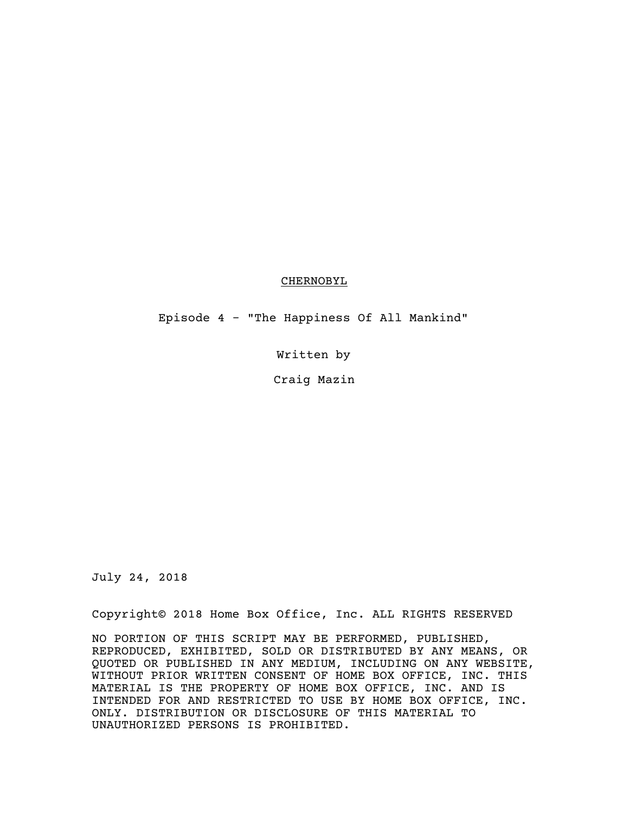## CHERNOBYL

Episode 4 - "The Happiness Of All Mankind"

Written by

Craig Mazin

July 24, 2018

Copyright© 2018 Home Box Office, Inc. ALL RIGHTS RESERVED

NO PORTION OF THIS SCRIPT MAY BE PERFORMED, PUBLISHED, REPRODUCED, EXHIBITED, SOLD OR DISTRIBUTED BY ANY MEANS, OR QUOTED OR PUBLISHED IN ANY MEDIUM, INCLUDING ON ANY WEBSITE, WITHOUT PRIOR WRITTEN CONSENT OF HOME BOX OFFICE, INC. THIS MATERIAL IS THE PROPERTY OF HOME BOX OFFICE, INC. AND IS INTENDED FOR AND RESTRICTED TO USE BY HOME BOX OFFICE, INC. ONLY. DISTRIBUTION OR DISCLOSURE OF THIS MATERIAL TO UNAUTHORIZED PERSONS IS PROHIBITED.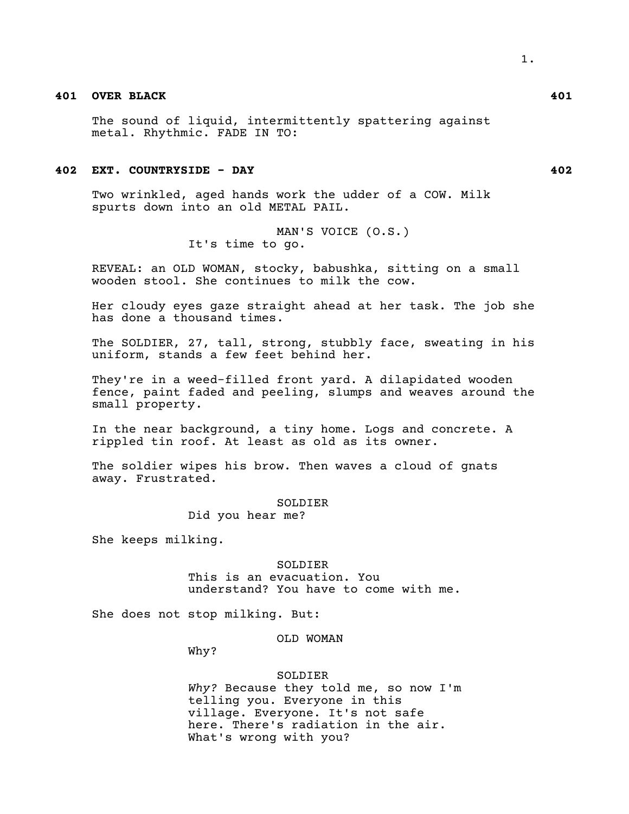# **401 OVER BLACK 401**

The sound of liquid, intermittently spattering against metal. Rhythmic. FADE IN TO:

## **402 EXT. COUNTRYSIDE - DAY 402**

Two wrinkled, aged hands work the udder of a COW. Milk spurts down into an old METAL PAIL.

> MAN'S VOICE (O.S.) It's time to go.

REVEAL: an OLD WOMAN, stocky, babushka, sitting on a small wooden stool. She continues to milk the cow.

Her cloudy eyes gaze straight ahead at her task. The job she has done a thousand times.

The SOLDIER, 27, tall, strong, stubbly face, sweating in his uniform, stands a few feet behind her.

They're in a weed-filled front yard. A dilapidated wooden fence, paint faded and peeling, slumps and weaves around the small property.

In the near background, a tiny home. Logs and concrete. A rippled tin roof. At least as old as its owner.

The soldier wipes his brow. Then waves a cloud of gnats away. Frustrated.

## SOLDIER

Did you hear me?

She keeps milking.

## SOLDIER This is an evacuation. You

understand? You have to come with me.

She does not stop milking. But:

## OLD WOMAN

Why?

#### SOLDIER

*Why?* Because they told me, so now I'm telling you. Everyone in this village. Everyone. It's not safe here. There's radiation in the air. What's wrong with you?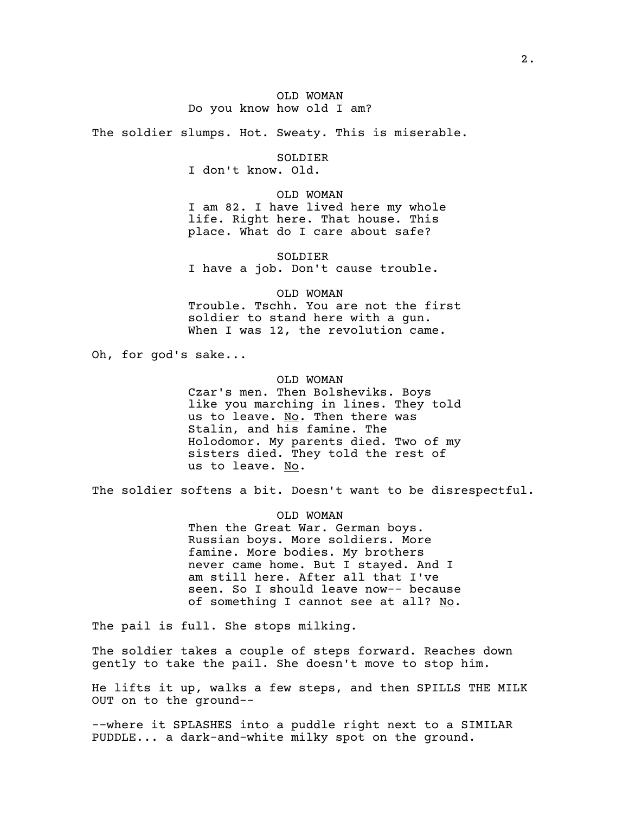## OLD WOMAN Do you know how old I am?

The soldier slumps. Hot. Sweaty. This is miserable.

SOLDIER

I don't know. Old.

OLD WOMAN I am 82. I have lived here my whole life. Right here. That house. This place. What do I care about safe?

SOLDIER I have a job. Don't cause trouble.

OLD WOMAN Trouble. Tschh. You are not the first soldier to stand here with a gun. When I was 12, the revolution came.

Oh, for god's sake...

OLD WOMAN Czar's men. Then Bolsheviks. Boys like you marching in lines. They told us to leave. No. Then there was Stalin, and his famine. The Holodomor. My parents died. Two of my sisters died. They told the rest of us to leave. No.

The soldier softens a bit. Doesn't want to be disrespectful.

OLD WOMAN Then the Great War. German boys. Russian boys. More soldiers. More famine. More bodies. My brothers never came home. But I stayed. And I am still here. After all that I've seen. So I should leave now-- because of something I cannot see at all? No.

The pail is full. She stops milking.

The soldier takes a couple of steps forward. Reaches down gently to take the pail. She doesn't move to stop him.

He lifts it up, walks a few steps, and then SPILLS THE MILK OUT on to the ground--

--where it SPLASHES into a puddle right next to a SIMILAR PUDDLE... a dark-and-white milky spot on the ground.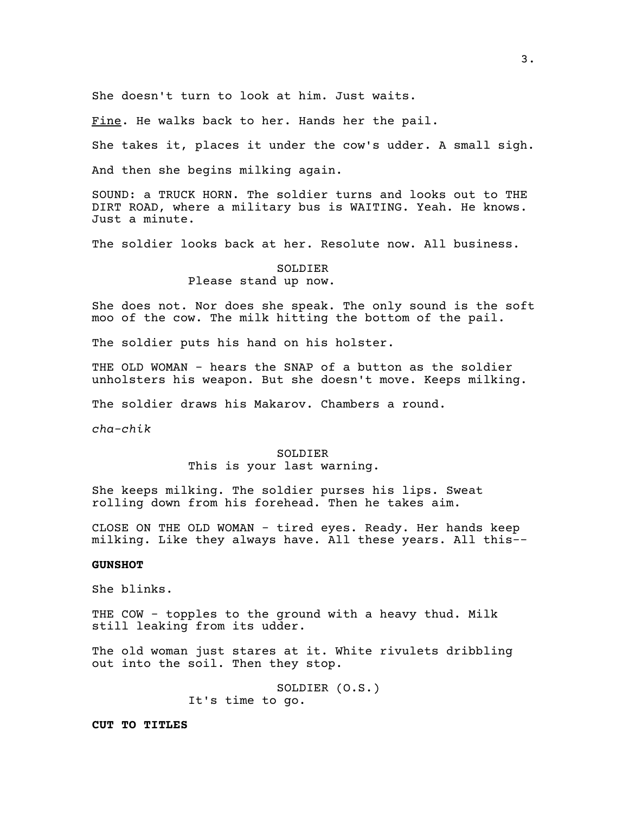She doesn't turn to look at him. Just waits.

Fine. He walks back to her. Hands her the pail.

She takes it, places it under the cow's udder. A small sigh.

And then she begins milking again.

SOUND: a TRUCK HORN. The soldier turns and looks out to THE DIRT ROAD, where a military bus is WAITING. Yeah. He knows. Just a minute.

The soldier looks back at her. Resolute now. All business.

# SOLDIER

Please stand up now.

She does not. Nor does she speak. The only sound is the soft moo of the cow. The milk hitting the bottom of the pail.

The soldier puts his hand on his holster.

THE OLD WOMAN - hears the SNAP of a button as the soldier unholsters his weapon. But she doesn't move. Keeps milking.

The soldier draws his Makarov. Chambers a round.

*cha-chik*

## SOLDIER

# This is your last warning.

She keeps milking. The soldier purses his lips. Sweat rolling down from his forehead. Then he takes aim.

CLOSE ON THE OLD WOMAN - tired eyes. Ready. Her hands keep milking. Like they always have. All these years. All this--

### **GUNSHOT**

She blinks.

THE COW - topples to the ground with a heavy thud. Milk still leaking from its udder.

The old woman just stares at it. White rivulets dribbling out into the soil. Then they stop.

> SOLDIER (O.S.) It's time to go.

**CUT TO TITLES**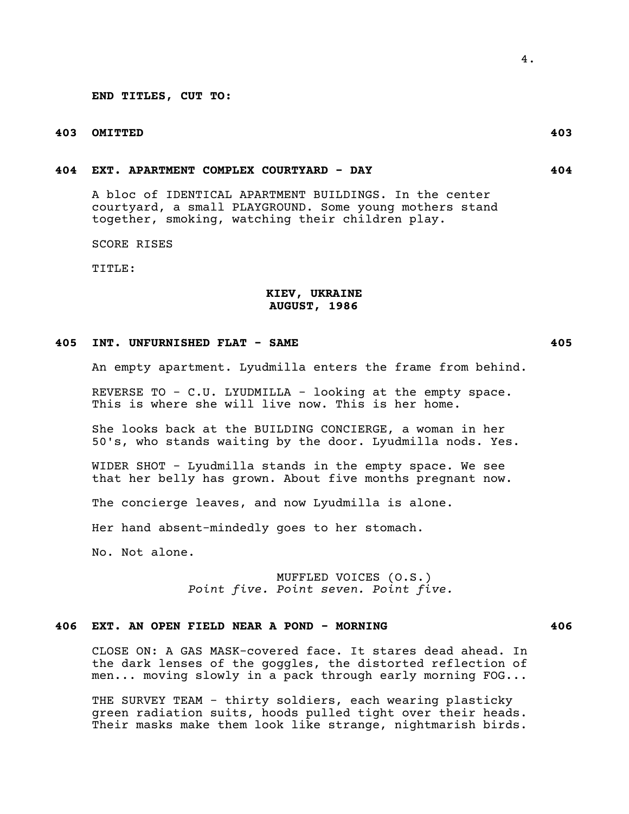**END TITLES, CUT TO:**

# **403 OMITTED 403**

## **404 EXT. APARTMENT COMPLEX COURTYARD - DAY 404**

A bloc of IDENTICAL APARTMENT BUILDINGS. In the center courtyard, a small PLAYGROUND. Some young mothers stand together, smoking, watching their children play.

SCORE RISES

TITLE:

# **KIEV, UKRAINE AUGUST, 1986**

#### **405 INT. UNFURNISHED FLAT - SAME 405**

An empty apartment. Lyudmilla enters the frame from behind.

REVERSE TO - C.U. LYUDMILLA - looking at the empty space. This is where she will live now. This is her home.

She looks back at the BUILDING CONCIERGE, a woman in her 50's, who stands waiting by the door. Lyudmilla nods. Yes.

WIDER SHOT - Lyudmilla stands in the empty space. We see that her belly has grown. About five months pregnant now.

The concierge leaves, and now Lyudmilla is alone.

Her hand absent-mindedly goes to her stomach.

No. Not alone.

MUFFLED VOICES (O.S.) *Point five. Point seven. Point five.*

## **406 EXT. AN OPEN FIELD NEAR A POND - MORNING 406**

CLOSE ON: A GAS MASK-covered face. It stares dead ahead. In the dark lenses of the goggles, the distorted reflection of men... moving slowly in a pack through early morning FOG...

THE SURVEY TEAM - thirty soldiers, each wearing plasticky green radiation suits, hoods pulled tight over their heads. Their masks make them look like strange, nightmarish birds.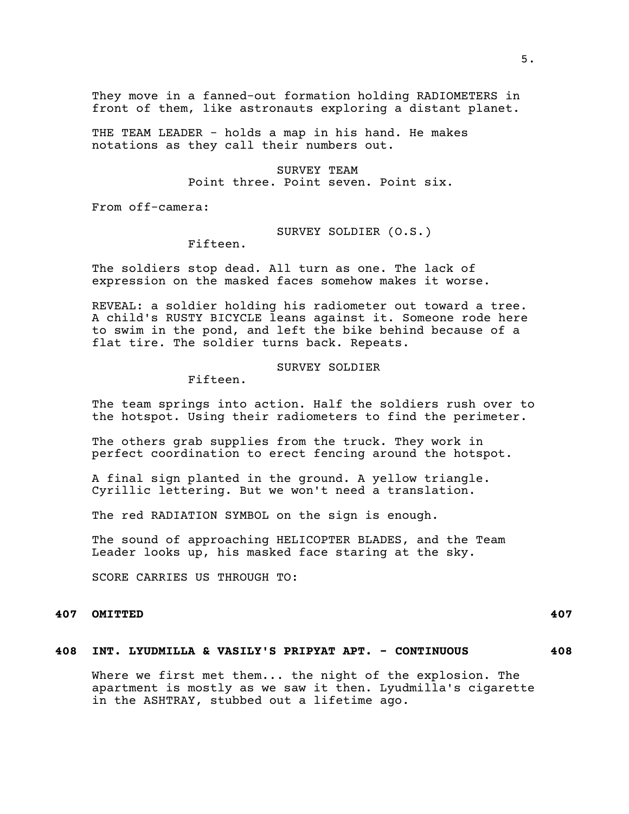They move in a fanned-out formation holding RADIOMETERS in front of them, like astronauts exploring a distant planet.

THE TEAM LEADER - holds a map in his hand. He makes notations as they call their numbers out.

> SURVEY TEAM Point three. Point seven. Point six.

From off-camera:

SURVEY SOLDIER (O.S.)

Fifteen.

The soldiers stop dead. All turn as one. The lack of expression on the masked faces somehow makes it worse.

REVEAL: a soldier holding his radiometer out toward a tree. A child's RUSTY BICYCLE leans against it. Someone rode here to swim in the pond, and left the bike behind because of a flat tire. The soldier turns back. Repeats.

## SURVEY SOLDIER

Fifteen.

The team springs into action. Half the soldiers rush over to the hotspot. Using their radiometers to find the perimeter.

The others grab supplies from the truck. They work in perfect coordination to erect fencing around the hotspot.

A final sign planted in the ground. A yellow triangle. Cyrillic lettering. But we won't need a translation.

The red RADIATION SYMBOL on the sign is enough.

The sound of approaching HELICOPTER BLADES, and the Team Leader looks up, his masked face staring at the sky.

SCORE CARRIES US THROUGH TO:

# **407 OMITTED 407**

## **408 INT. LYUDMILLA & VASILY'S PRIPYAT APT. - CONTINUOUS 408**

Where we first met them... the night of the explosion. The apartment is mostly as we saw it then. Lyudmilla's cigarette in the ASHTRAY, stubbed out a lifetime ago.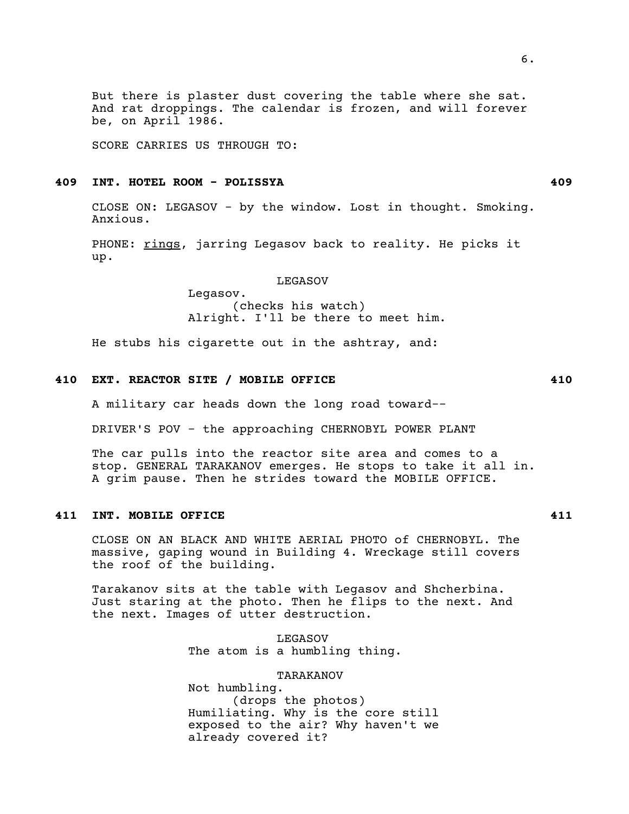But there is plaster dust covering the table where she sat. And rat droppings. The calendar is frozen, and will forever be, on  $April 1986.$ 

SCORE CARRIES US THROUGH TO:

## **409 INT. HOTEL ROOM - POLISSYA 409**

CLOSE ON: LEGASOV - by the window. Lost in thought. Smoking. Anxious.

PHONE: rings, jarring Legasov back to reality. He picks it up.

LEGASOV

Legasov. (checks his watch) Alright. I'll be there to meet him.

He stubs his cigarette out in the ashtray, and:

# **410 EXT. REACTOR SITE / MOBILE OFFICE 410**

A military car heads down the long road toward--

DRIVER'S POV - the approaching CHERNOBYL POWER PLANT

The car pulls into the reactor site area and comes to a stop. GENERAL TARAKANOV emerges. He stops to take it all in. A grim pause. Then he strides toward the MOBILE OFFICE.

## **411 INT. MOBILE OFFICE 411**

CLOSE ON AN BLACK AND WHITE AERIAL PHOTO of CHERNOBYL. The massive, gaping wound in Building 4. Wreckage still covers the roof of the building.

Tarakanov sits at the table with Legasov and Shcherbina. Just staring at the photo. Then he flips to the next. And the next. Images of utter destruction.

> LEGASOV The atom is a humbling thing.

TARAKANOV Not humbling. (drops the photos) Humiliating. Why is the core still exposed to the air? Why haven't we already covered it?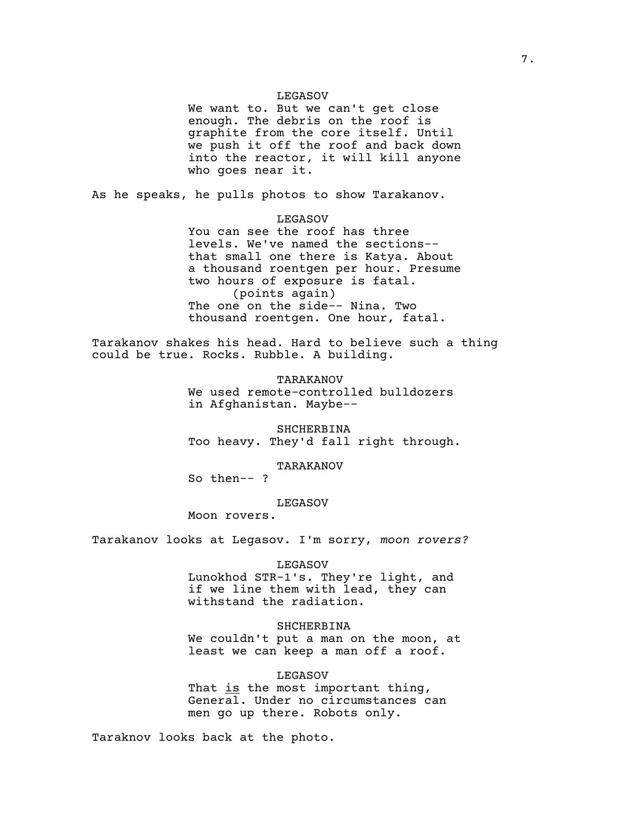## LEGASOV

We want to. But we can't get close enough. The debris on the roof is graphite from the core itself. Until we push it off the roof and back down into the reactor, it will kill anyone who goes near it.

As he speaks, he pulls photos to show Tarakanov.

## LEGASOV

You can see the roof has three levels. We've named the sections- that small one there is Katya. About a thousand roentgen per hour. Presume two hours of exposure is fatal. (points again) The one on the side-- Nina. Two thousand roentgen. One hour, fatal.

Tarakanov shakes his head. Hard to believe such a thing could be true. Rocks. Rubble. A building.

> TARAKANOV We used remote-controlled bulldozers in Afghanistan. Maybe--

SHCHERBINA Too heavy. They'd fall right through.

TARAKANOV

So then-- ?

LEGASOV

Moon rovers.

Tarakanov looks at Legasov. I'm sorry, *moon rovers?*

#### LEGASOV

Lunokhod STR-1's. They're light, and if we line them with lead, they can withstand the radiation.

## SHCHERBINA

We couldn't put a man on the moon, at least we can keep a man off a roof.

#### LEGASOV

That is the most important thing, General. Under no circumstances can men go up there. Robots only.

Taraknov looks back at the photo.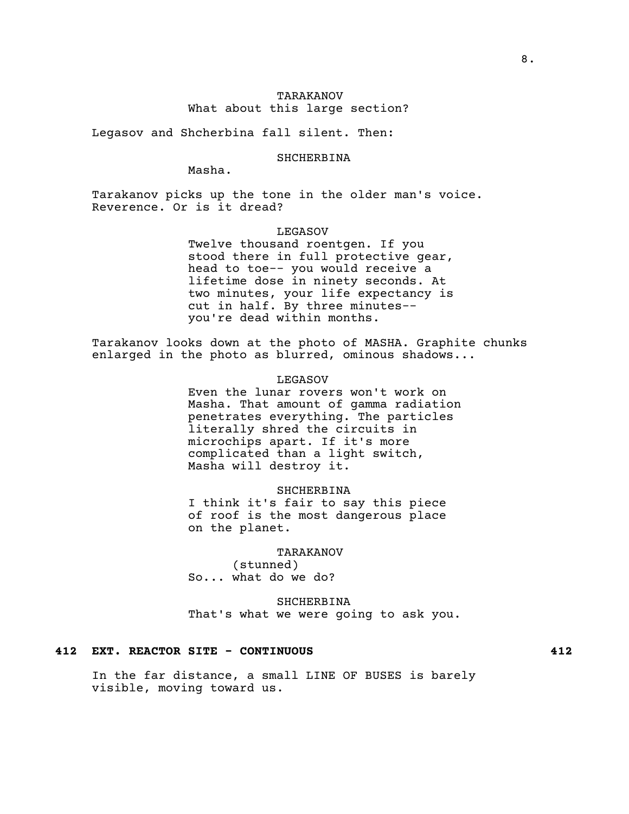# TARAKANOV What about this large section?

Legasov and Shcherbina fall silent. Then:

SHCHERBINA

Masha.

Tarakanov picks up the tone in the older man's voice. Reverence. Or is it dread?

#### LEGASOV

Twelve thousand roentgen. If you stood there in full protective gear, head to toe-- you would receive a lifetime dose in ninety seconds. At two minutes, your life expectancy is cut in half. By three minutes- you're dead within months.

Tarakanov looks down at the photo of MASHA. Graphite chunks enlarged in the photo as blurred, ominous shadows...

LEGASOV

Even the lunar rovers won't work on Masha. That amount of gamma radiation penetrates everything. The particles literally shred the circuits in microchips apart. If it's more complicated than a light switch, Masha will destroy it.

#### SHCHERBINA

I think it's fair to say this piece of roof is the most dangerous place on the planet.

#### TARAKANOV

(stunned) So... what do we do?

SHCHERBINA That's what we were going to ask you.

# **412 EXT. REACTOR SITE - CONTINUOUS 412**

In the far distance, a small LINE OF BUSES is barely visible, moving toward us.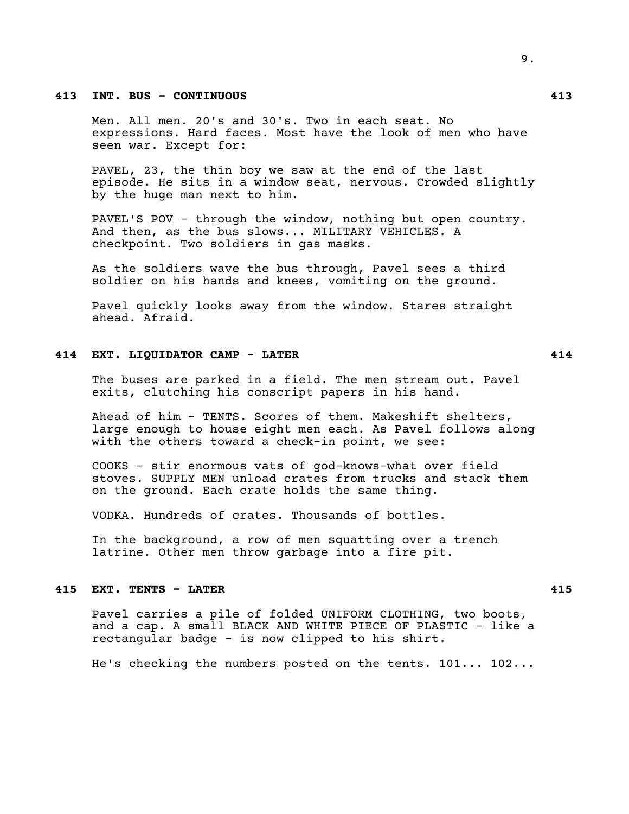## **413 INT. BUS - CONTINUOUS 413**

Men. All men. 20's and 30's. Two in each seat. No expressions. Hard faces. Most have the look of men who have seen war. Except for:

PAVEL, 23, the thin boy we saw at the end of the last episode. He sits in a window seat, nervous. Crowded slightly by the huge man next to him.

PAVEL'S POV - through the window, nothing but open country. And then, as the bus slows... MILITARY VEHICLES. A checkpoint. Two soldiers in gas masks.

As the soldiers wave the bus through, Pavel sees a third soldier on his hands and knees, vomiting on the ground.

Pavel quickly looks away from the window. Stares straight ahead. Afraid.

## **414 EXT. LIQUIDATOR CAMP - LATER 414**

The buses are parked in a field. The men stream out. Pavel exits, clutching his conscript papers in his hand.

Ahead of him - TENTS. Scores of them. Makeshift shelters, large enough to house eight men each. As Pavel follows along with the others toward a check-in point, we see:

COOKS - stir enormous vats of god-knows-what over field stoves. SUPPLY MEN unload crates from trucks and stack them on the ground. Each crate holds the same thing.

VODKA. Hundreds of crates. Thousands of bottles.

In the background, a row of men squatting over a trench latrine. Other men throw garbage into a fire pit.

### **415 EXT. TENTS - LATER 415**

Pavel carries a pile of folded UNIFORM CLOTHING, two boots, and a cap. A small BLACK AND WHITE PIECE OF PLASTIC - like a rectangular badge - is now clipped to his shirt.

He's checking the numbers posted on the tents. 101... 102...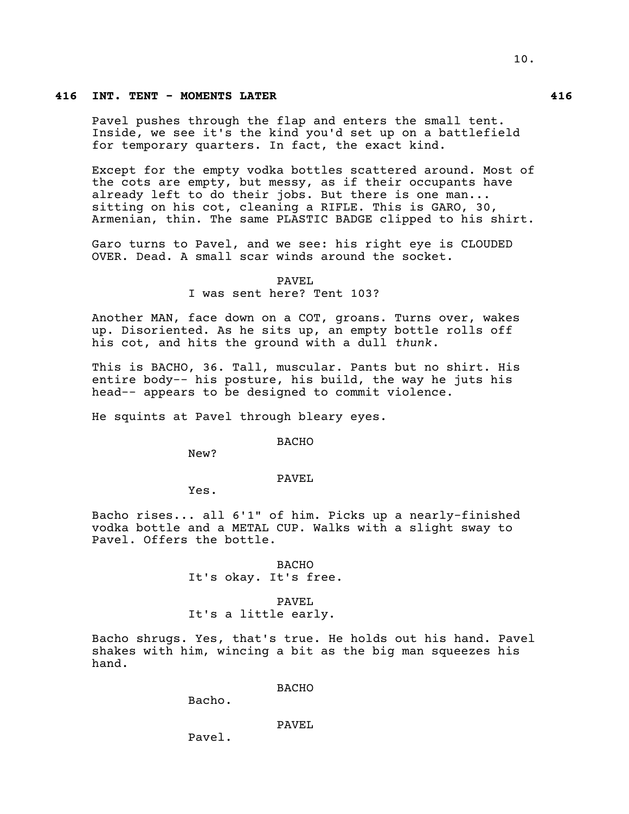## **416 INT. TENT - MOMENTS LATER 416**

Pavel pushes through the flap and enters the small tent. Inside, we see it's the kind you'd set up on a battlefield for temporary quarters. In fact, the exact kind.

Except for the empty vodka bottles scattered around. Most of the cots are empty, but messy, as if their occupants have already left to do their jobs. But there is one man... sitting on his cot, cleaning a RIFLE. This is GARO, 30, Armenian, thin. The same PLASTIC BADGE clipped to his shirt.

Garo turns to Pavel, and we see: his right eye is CLOUDED OVER. Dead. A small scar winds around the socket.

#### PAVEL

I was sent here? Tent 103?

Another MAN, face down on a COT, groans. Turns over, wakes up. Disoriented. As he sits up, an empty bottle rolls off his cot, and hits the ground with a dull *thunk*.

This is BACHO, 36. Tall, muscular. Pants but no shirt. His entire body-- his posture, his build, the way he juts his head-- appears to be designed to commit violence.

He squints at Pavel through bleary eyes.

BACHO

New?

## PAVEL

Yes.

Bacho rises... all 6'1" of him. Picks up a nearly-finished vodka bottle and a METAL CUP. Walks with a slight sway to Pavel. Offers the bottle.

> BACHO It's okay. It's free.

PAVEL It's a little early.

Bacho shrugs. Yes, that's true. He holds out his hand. Pavel shakes with him, wincing a bit as the big man squeezes his hand.

BACHO

Bacho.

#### PAVEL

Pavel.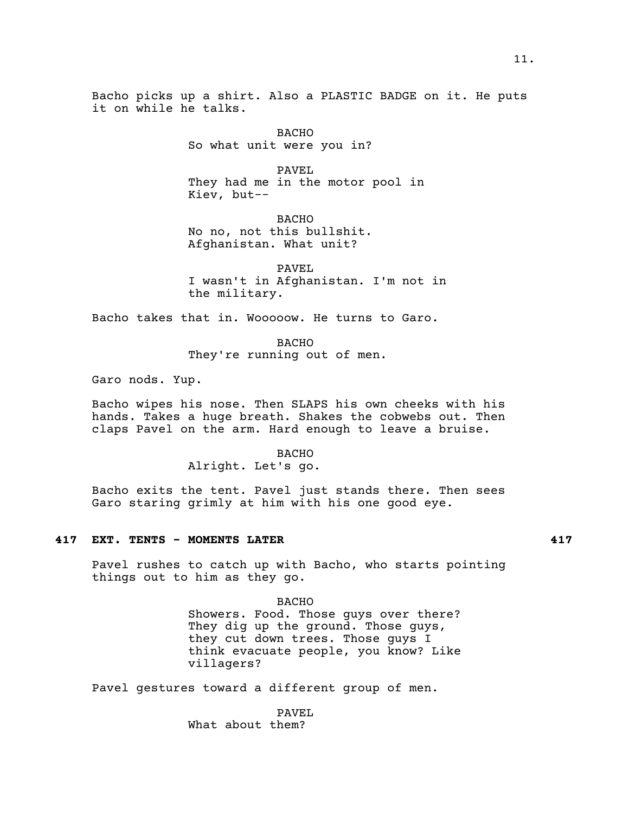Bacho picks up a shirt. Also a PLASTIC BADGE on it. He puts it on while he talks.

> BACHO So what unit were you in?

PAVEL They had me in the motor pool in Kiev, but--

BACHO No no, not this bullshit. Afghanistan. What unit?

PAVEL I wasn't in Afghanistan. I'm not in the military.

Bacho takes that in. Wooooow. He turns to Garo.

BACHO They're running out of men.

Garo nods. Yup.

Bacho wipes his nose. Then SLAPS his own cheeks with his hands. Takes a huge breath. Shakes the cobwebs out. Then claps Pavel on the arm. Hard enough to leave a bruise.

#### BACHO

Alright. Let's go.

Bacho exits the tent. Pavel just stands there. Then sees Garo staring grimly at him with his one good eye.

## **417 EXT. TENTS - MOMENTS LATER 417**

Pavel rushes to catch up with Bacho, who starts pointing things out to him as they go.

> BACHO Showers. Food. Those guys over there? They dig up the ground. Those guys, they cut down trees. Those guys I think evacuate people, you know? Like villagers?

Pavel gestures toward a different group of men.

PAVEL What about them?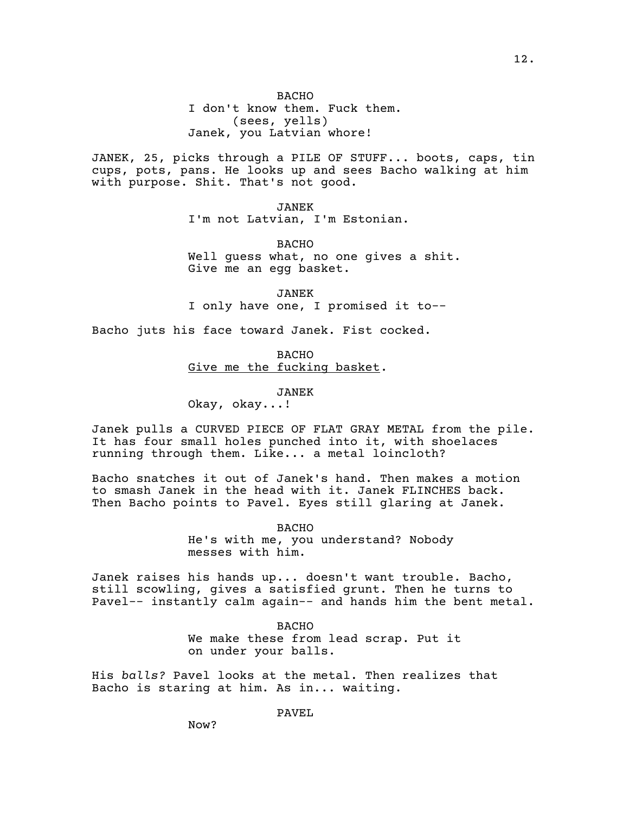BACHO I don't know them. Fuck them. (sees, yells) Janek, you Latvian whore!

JANEK, 25, picks through a PILE OF STUFF... boots, caps, tin cups, pots, pans. He looks up and sees Bacho walking at him with purpose. Shit. That's not good.

> JANEK I'm not Latvian, I'm Estonian.

BACHO Well guess what, no one gives a shit. Give me an egg basket.

JANEK I only have one, I promised it to--

Bacho juts his face toward Janek. Fist cocked.

BACHO Give me the fucking basket.

JANEK

Okay, okay...!

Janek pulls a CURVED PIECE OF FLAT GRAY METAL from the pile. It has four small holes punched into it, with shoelaces running through them. Like... a metal loincloth?

Bacho snatches it out of Janek's hand. Then makes a motion to smash Janek in the head with it. Janek FLINCHES back. Then Bacho points to Pavel. Eyes still glaring at Janek.

> BACHO He's with me, you understand? Nobody messes with him.

Janek raises his hands up... doesn't want trouble. Bacho, still scowling, gives a satisfied grunt. Then he turns to Pavel-- instantly calm again-- and hands him the bent metal.

> BACHO We make these from lead scrap. Put it on under your balls.

His *balls?* Pavel looks at the metal. Then realizes that Bacho is staring at him. As in... waiting.

PAVEL

Now?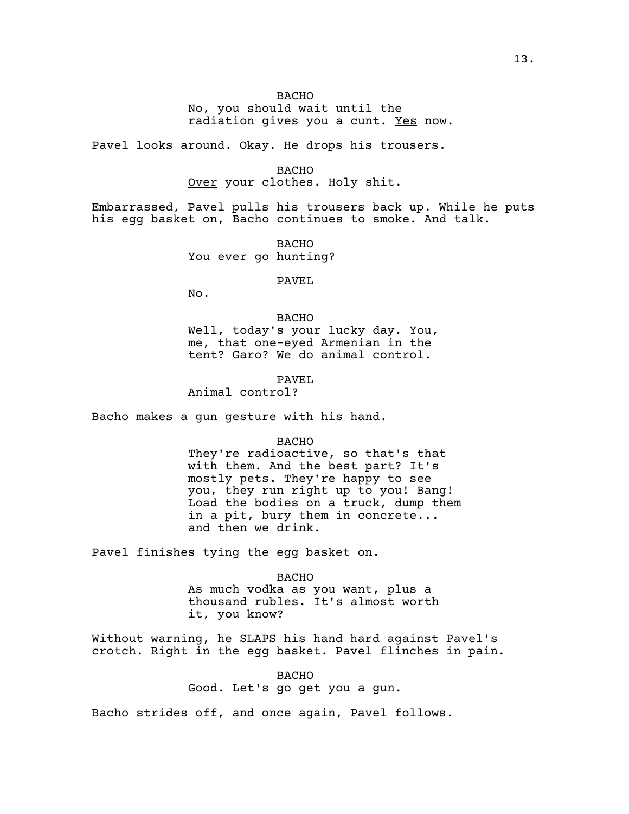## **BACHO**

No, you should wait until the radiation gives you a cunt. Yes now.

Pavel looks around. Okay. He drops his trousers.

BACHO

Over your clothes. Holy shit.

Embarrassed, Pavel pulls his trousers back up. While he puts his egg basket on, Bacho continues to smoke. And talk.

> BACHO You ever go hunting?

> > PAVEL

No.

BACHO Well, today's your lucky day. You, me, that one-eyed Armenian in the tent? Garo? We do animal control.

PAVEL Animal control?

Bacho makes a gun gesture with his hand.

#### BACHO

They're radioactive, so that's that with them. And the best part? It's mostly pets. They're happy to see you, they run right up to you! Bang! Load the bodies on a truck, dump them in a pit, bury them in concrete... and then we drink.

Pavel finishes tying the egg basket on.

#### BACHO

As much vodka as you want, plus a thousand rubles. It's almost worth it, you know?

Without warning, he SLAPS his hand hard against Pavel's crotch. Right in the egg basket. Pavel flinches in pain.

> BACHO Good. Let's go get you a gun.

Bacho strides off, and once again, Pavel follows.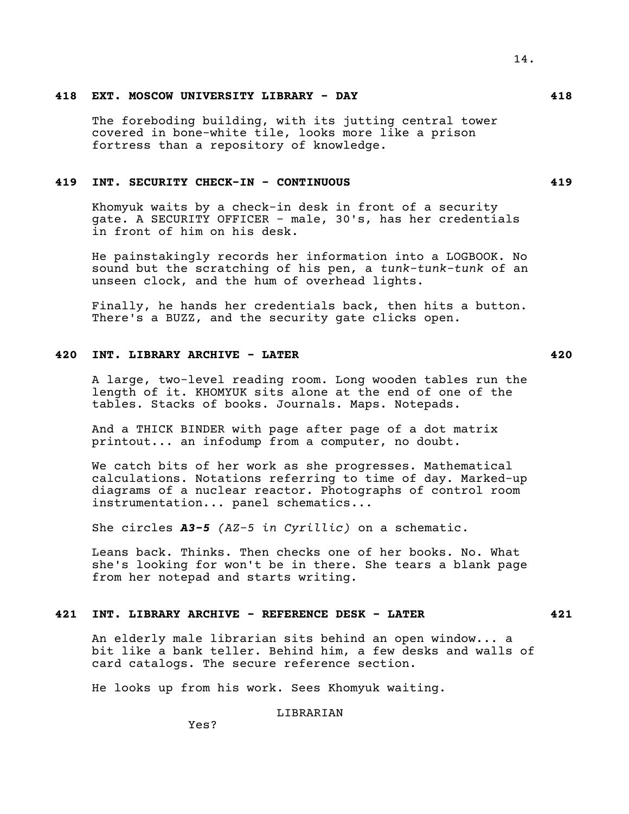# **418 EXT. MOSCOW UNIVERSITY LIBRARY - DAY 418**

The foreboding building, with its jutting central tower covered in bone-white tile, looks more like a prison fortress than a repository of knowledge.

## **419 INT. SECURITY CHECK-IN - CONTINUOUS 419**

Khomyuk waits by a check-in desk in front of a security gate. A SECURITY OFFICER - male, 30's, has her credentials in front of him on his desk.

He painstakingly records her information into a LOGBOOK. No sound but the scratching of his pen, a *tunk-tunk-tunk* of an unseen clock, and the hum of overhead lights.

Finally, he hands her credentials back, then hits a button. There's a BUZZ, and the security gate clicks open.

# **420 INT. LIBRARY ARCHIVE - LATER 420**

A large, two-level reading room. Long wooden tables run the length of it. KHOMYUK sits alone at the end of one of the tables. Stacks of books. Journals. Maps. Notepads.

And a THICK BINDER with page after page of a dot matrix printout... an infodump from a computer, no doubt.

We catch bits of her work as she progresses. Mathematical calculations. Notations referring to time of day. Marked-up diagrams of a nuclear reactor. Photographs of control room instrumentation... panel schematics...

She circles *A3-5 (AZ-5 in Cyrillic)* on a schematic.

Leans back. Thinks. Then checks one of her books. No. What she's looking for won't be in there. She tears a blank page from her notepad and starts writing.

## **421 INT. LIBRARY ARCHIVE - REFERENCE DESK - LATER 421**

An elderly male librarian sits behind an open window... a bit like a bank teller. Behind him, a few desks and walls of card catalogs. The secure reference section.

He looks up from his work. Sees Khomyuk waiting.

LIBRARIAN

Yes?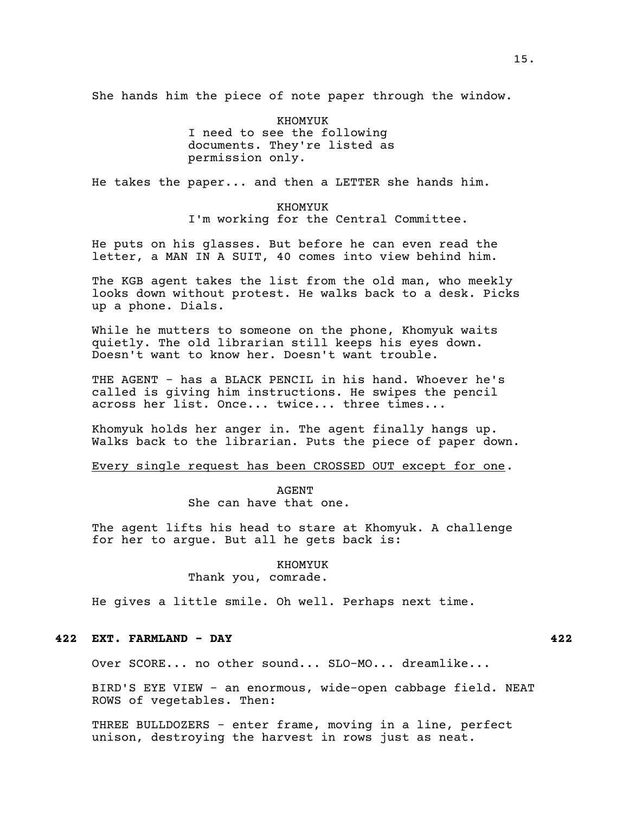She hands him the piece of note paper through the window.

KHOMYUK I need to see the following documents. They're listed as permission only.

He takes the paper... and then a LETTER she hands him.

KHOMYUK I'm working for the Central Committee.

He puts on his glasses. But before he can even read the letter, a MAN IN A SUIT, 40 comes into view behind him.

The KGB agent takes the list from the old man, who meekly looks down without protest. He walks back to a desk. Picks up a phone. Dials.

While he mutters to someone on the phone, Khomyuk waits quietly. The old librarian still keeps his eyes down. Doesn't want to know her. Doesn't want trouble.

THE AGENT - has a BLACK PENCIL in his hand. Whoever he's called is giving him instructions. He swipes the pencil across her list. Once... twice... three times...

Khomyuk holds her anger in. The agent finally hangs up. Walks back to the librarian. Puts the piece of paper down.

# Every single request has been CROSSED OUT except for one.

AGENT She can have that one.

The agent lifts his head to stare at Khomyuk. A challenge for her to argue. But all he gets back is:

## KHOMYUK

## Thank you, comrade.

He gives a little smile. Oh well. Perhaps next time.

## **422 EXT. FARMLAND - DAY 422**

Over SCORE... no other sound... SLO-MO... dreamlike...

BIRD'S EYE VIEW - an enormous, wide-open cabbage field. NEAT ROWS of vegetables. Then:

THREE BULLDOZERS - enter frame, moving in a line, perfect unison, destroying the harvest in rows just as neat.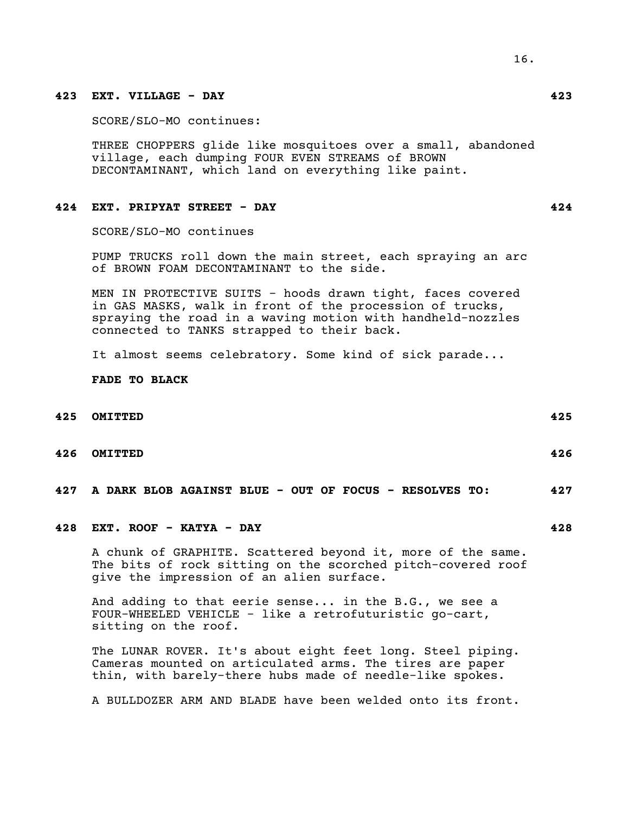# **423 EXT. VILLAGE - DAY 423**

SCORE/SLO-MO continues:

THREE CHOPPERS glide like mosquitoes over a small, abandoned village, each dumping FOUR EVEN STREAMS of BROWN DECONTAMINANT, which land on everything like paint.

## **424 EXT. PRIPYAT STREET - DAY 424**

SCORE/SLO-MO continues

PUMP TRUCKS roll down the main street, each spraying an arc of BROWN FOAM DECONTAMINANT to the side.

MEN IN PROTECTIVE SUITS - hoods drawn tight, faces covered in GAS MASKS, walk in front of the procession of trucks, spraying the road in a waving motion with handheld-nozzles connected to TANKS strapped to their back.

It almost seems celebratory. Some kind of sick parade...

**FADE TO BLACK**

# **425 OMITTED 425**

- 
- **426 OMITTED 426**

**427 A DARK BLOB AGAINST BLUE - OUT OF FOCUS - RESOLVES TO: 427**

# **428 EXT. ROOF - KATYA - DAY 428**

A chunk of GRAPHITE. Scattered beyond it, more of the same. The bits of rock sitting on the scorched pitch-covered roof give the impression of an alien surface.

And adding to that eerie sense... in the B.G., we see a FOUR-WHEELED VEHICLE - like a retrofuturistic go-cart, sitting on the roof.

The LUNAR ROVER. It's about eight feet long. Steel piping. Cameras mounted on articulated arms. The tires are paper thin, with barely-there hubs made of needle-like spokes.

A BULLDOZER ARM AND BLADE have been welded onto its front.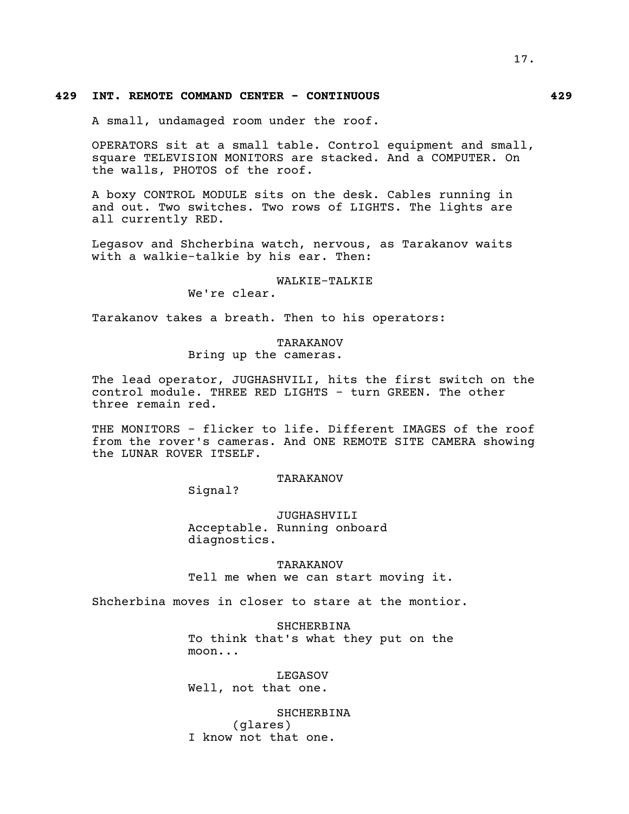# 17.

# **429 INT. REMOTE COMMAND CENTER - CONTINUOUS 429**

A small, undamaged room under the roof.

OPERATORS sit at a small table. Control equipment and small, square TELEVISION MONITORS are stacked. And a COMPUTER. On the walls, PHOTOS of the roof.

A boxy CONTROL MODULE sits on the desk. Cables running in and out. Two switches. Two rows of LIGHTS. The lights are all currently RED.

Legasov and Shcherbina watch, nervous, as Tarakanov waits with a walkie-talkie by his ear. Then:

#### WALKIE-TALKIE

We're clear.

Tarakanov takes a breath. Then to his operators:

#### TARAKANOV

Bring up the cameras.

The lead operator, JUGHASHVILI, hits the first switch on the control module. THREE RED LIGHTS - turn GREEN. The other three remain red.

THE MONITORS - flicker to life. Different IMAGES of the roof from the rover's cameras. And ONE REMOTE SITE CAMERA showing the LUNAR ROVER ITSELF.

## TARAKANOV

Signal?

JUGHASHVILI Acceptable. Running onboard diagnostics.

TARAKANOV Tell me when we can start moving it.

Shcherbina moves in closer to stare at the montior.

SHCHERBINA To think that's what they put on the moon...

LEGASOV Well, not that one.

SHCHERBINA (glares) I know not that one.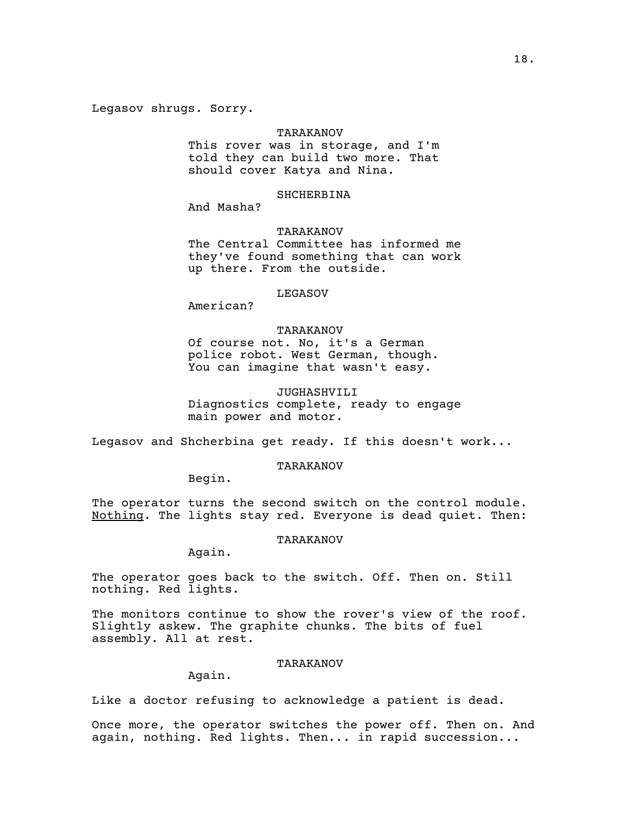Legasov shrugs. Sorry.

#### TARAKANOV

This rover was in storage, and I'm told they can build two more. That should cover Katya and Nina.

## SHCHERBINA

And Masha?

## TARAKANOV

The Central Committee has informed me they've found something that can work up there. From the outside.

#### LEGASOV

American?

## TARAKANOV

Of course not. No, it's a German police robot. West German, though. You can imagine that wasn't easy.

## JUGHASHVILI

Diagnostics complete, ready to engage main power and motor.

Legasov and Shcherbina get ready. If this doesn't work...

## TARAKANOV

Begin.

The operator turns the second switch on the control module. Nothing. The lights stay red. Everyone is dead quiet. Then:

#### TARAKANOV

Again.

The operator goes back to the switch. Off. Then on. Still nothing. Red lights.

The monitors continue to show the rover's view of the roof. Slightly askew. The graphite chunks. The bits of fuel assembly. All at rest.

## TARAKANOV

Again.

Like a doctor refusing to acknowledge a patient is dead.

Once more, the operator switches the power off. Then on. And again, nothing. Red lights. Then... in rapid succession...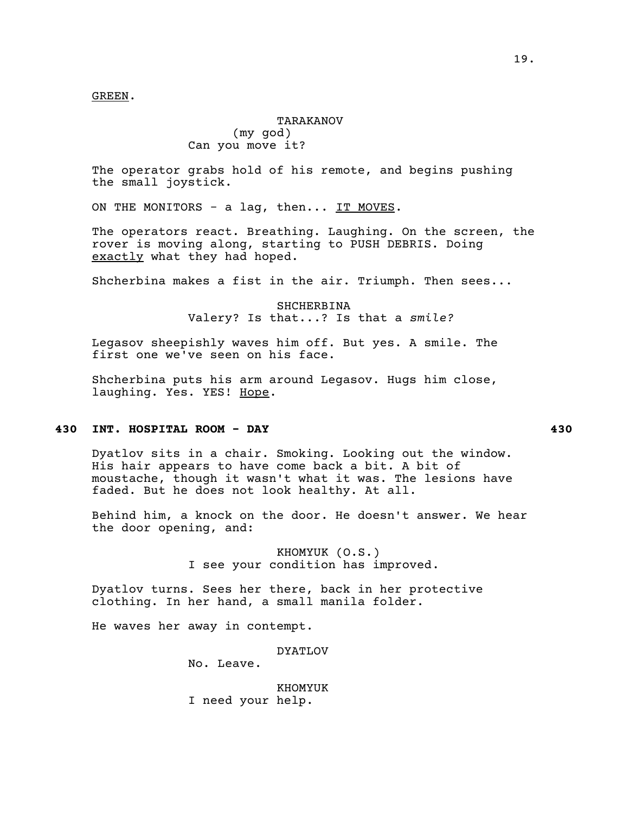GREEN.

# TARAKANOV (my god) Can you move it?

The operator grabs hold of his remote, and begins pushing the small joystick.

ON THE MONITORS - a lag, then... IT MOVES.

The operators react. Breathing. Laughing. On the screen, the rover is moving along, starting to PUSH DEBRIS. Doing exactly what they had hoped.

Shcherbina makes a fist in the air. Triumph. Then sees...

SHCHERBINA Valery? Is that...? Is that a *smile?*

Legasov sheepishly waves him off. But yes. A smile. The first one we've seen on his face.

Shcherbina puts his arm around Legasov. Hugs him close, laughing. Yes. YES! Hope.

## **430 INT. HOSPITAL ROOM - DAY 430**

Dyatlov sits in a chair. Smoking. Looking out the window. His hair appears to have come back a bit. A bit of moustache, though it wasn't what it was. The lesions have faded. But he does not look healthy. At all.

Behind him, a knock on the door. He doesn't answer. We hear the door opening, and:

> KHOMYUK (O.S.) I see your condition has improved.

Dyatlov turns. Sees her there, back in her protective clothing. In her hand, a small manila folder.

He waves her away in contempt.

DYATLOV

No. Leave.

KHOMYUK I need your help.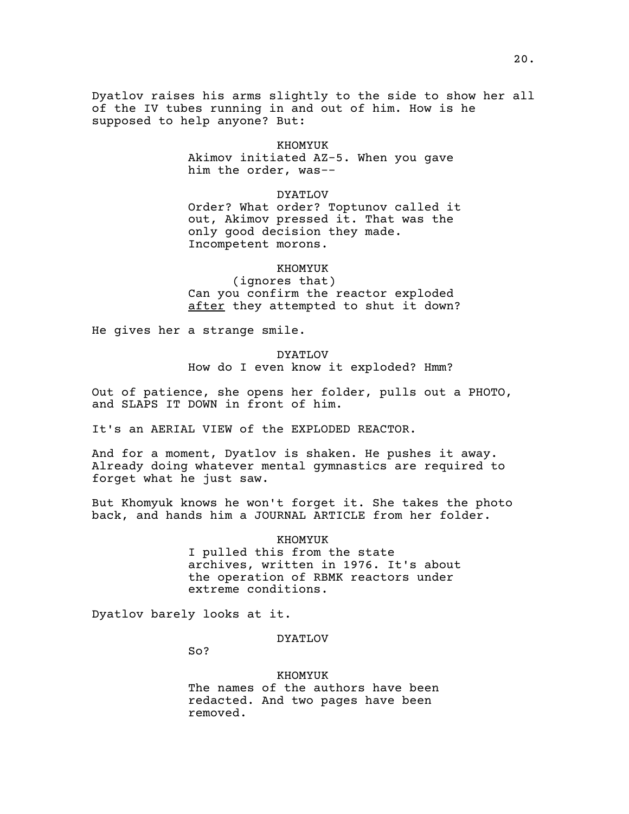Dyatlov raises his arms slightly to the side to show her all of the IV tubes running in and out of him. How is he supposed to help anyone? But:

#### KHOMYUK

Akimov initiated AZ-5. When you gave him the order, was--

#### DYATLOV

Order? What order? Toptunov called it out, Akimov pressed it. That was the only good decision they made. Incompetent morons.

#### KHOMYUK

(ignores that) Can you confirm the reactor exploded after they attempted to shut it down?

He gives her a strange smile.

#### DYATLOV

How do I even know it exploded? Hmm?

Out of patience, she opens her folder, pulls out a PHOTO, and SLAPS IT DOWN in front of him.

It's an AERIAL VIEW of the EXPLODED REACTOR.

And for a moment, Dyatlov is shaken. He pushes it away. Already doing whatever mental gymnastics are required to forget what he just saw.

But Khomyuk knows he won't forget it. She takes the photo back, and hands him a JOURNAL ARTICLE from her folder.

#### KHOMYUK

I pulled this from the state archives, written in 1976. It's about the operation of RBMK reactors under extreme conditions.

Dyatlov barely looks at it.

## DYATLOV

So?

KHOMYUK

The names of the authors have been redacted. And two pages have been removed.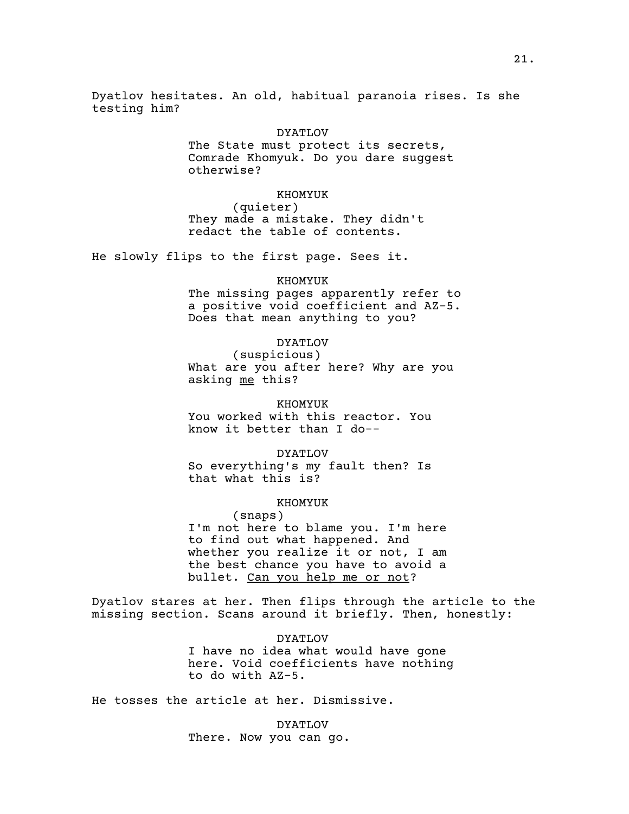Dyatlov hesitates. An old, habitual paranoia rises. Is she testing him?

> DYATLOV The State must protect its secrets, Comrade Khomyuk. Do you dare suggest otherwise?

KHOMYUK (quieter) They made a mistake. They didn't redact the table of contents.

He slowly flips to the first page. Sees it.

#### KHOMYUK

The missing pages apparently refer to a positive void coefficient and AZ-5. Does that mean anything to you?

## DYATLOV

(suspicious) What are you after here? Why are you asking me this?

KHOMYUK You worked with this reactor. You know it better than I do--

DYATLOV So everything's my fault then? Is that what this is?

## KHOMYUK

(snaps) I'm not here to blame you. I'm here to find out what happened. And whether you realize it or not, I am the best chance you have to avoid a bullet. Can you help me or not?

Dyatlov stares at her. Then flips through the article to the missing section. Scans around it briefly. Then, honestly:

> DYATLOV I have no idea what would have gone here. Void coefficients have nothing to do with AZ-5.

He tosses the article at her. Dismissive.

DYATLOV There. Now you can go.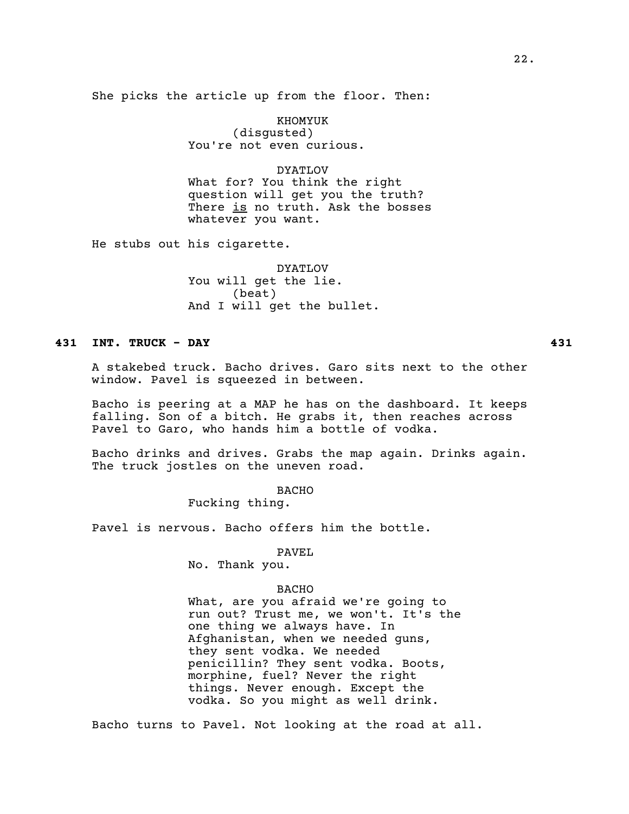She picks the article up from the floor. Then:

KHOMYUK (disgusted) You're not even curious.

DYATLOV

What for? You think the right question will get you the truth? There is no truth. Ask the bosses whatever you want.

He stubs out his cigarette.

DYATLOV You will get the lie. (beat) And I will get the bullet.

# **431 INT. TRUCK - DAY 431**

A stakebed truck. Bacho drives. Garo sits next to the other window. Pavel is squeezed in between.

Bacho is peering at a MAP he has on the dashboard. It keeps falling. Son of a bitch. He grabs it, then reaches across Pavel to Garo, who hands him a bottle of vodka.

Bacho drinks and drives. Grabs the map again. Drinks again. The truck jostles on the uneven road.

BACHO

Fucking thing.

Pavel is nervous. Bacho offers him the bottle.

PAVEL

No. Thank you.

## BACHO

What, are you afraid we're going to run out? Trust me, we won't. It's the one thing we always have. In Afghanistan, when we needed guns, they sent vodka. We needed penicillin? They sent vodka. Boots, morphine, fuel? Never the right things. Never enough. Except the vodka. So you might as well drink.

Bacho turns to Pavel. Not looking at the road at all.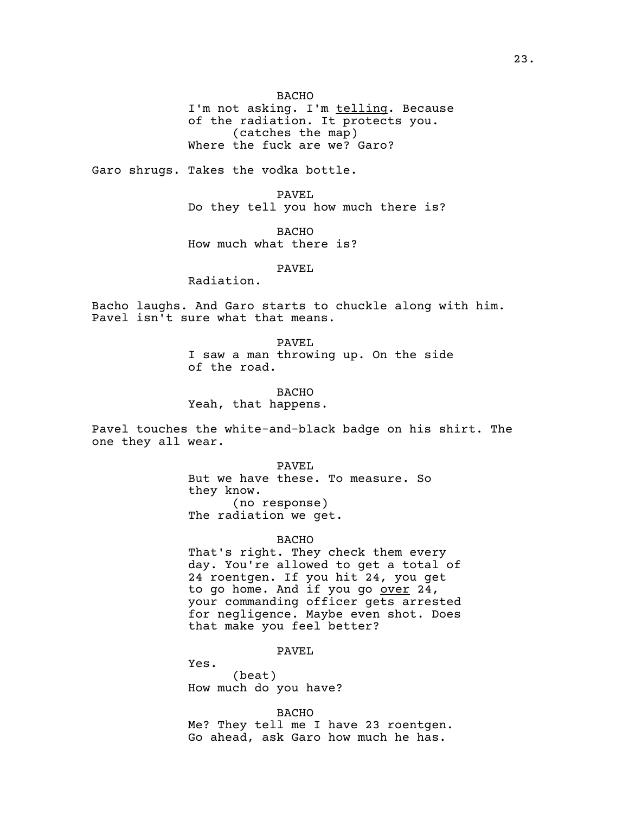BACHO

I'm not asking. I'm telling. Because of the radiation. It protects you. (catches the map) Where the fuck are we? Garo?

Garo shrugs. Takes the vodka bottle.

PAVEL Do they tell you how much there is?

BACHO How much what there is?

PAVEL

Radiation.

Bacho laughs. And Garo starts to chuckle along with him. Pavel isn't sure what that means.

> PAVEL I saw a man throwing up. On the side of the road.

BACHO Yeah, that happens.

Pavel touches the white-and-black badge on his shirt. The one they all wear.

> PAVEL But we have these. To measure. So they know. (no response) The radiation we get.

> > BACHO

That's right. They check them every day. You're allowed to get a total of 24 roentgen. If you hit 24, you get to go home. And if you go over 24, your commanding officer gets arrested for negligence. Maybe even shot. Does that make you feel better?

PAVEL

Yes. (beat) How much do you have?

BACHO Me? They tell me I have 23 roentgen. Go ahead, ask Garo how much he has.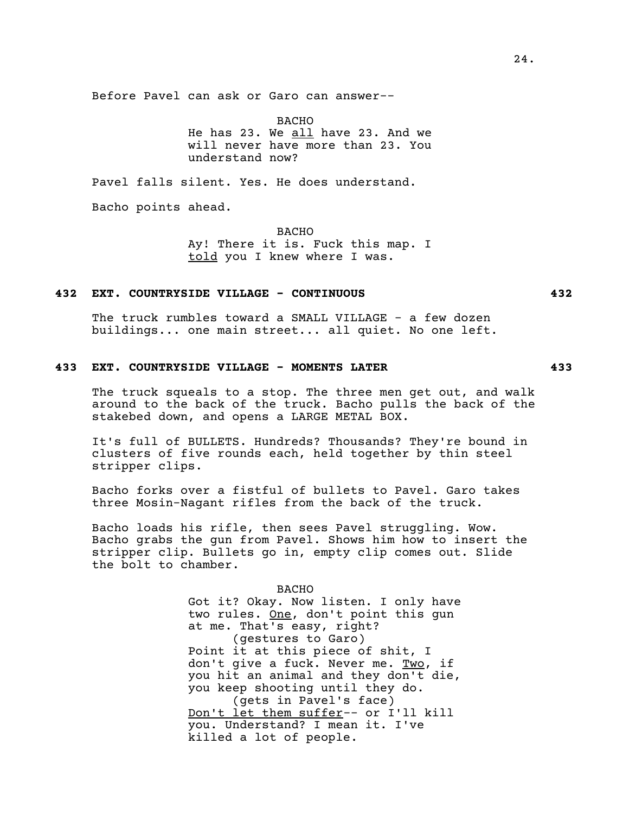BACHO

He has 23. We all have 23. And we will never have more than 23. You understand now?

Pavel falls silent. Yes. He does understand.

Bacho points ahead.

**BACHO** 

Ay! There it is. Fuck this map. I told you I knew where I was.

## **432 EXT. COUNTRYSIDE VILLAGE - CONTINUOUS 432**

The truck rumbles toward a SMALL VILLAGE - a few dozen buildings... one main street... all quiet. No one left.

# **433 EXT. COUNTRYSIDE VILLAGE - MOMENTS LATER 433**

The truck squeals to a stop. The three men get out, and walk around to the back of the truck. Bacho pulls the back of the stakebed down, and opens a LARGE METAL BOX.

It's full of BULLETS. Hundreds? Thousands? They're bound in clusters of five rounds each, held together by thin steel stripper clips.

Bacho forks over a fistful of bullets to Pavel. Garo takes three Mosin-Nagant rifles from the back of the truck.

Bacho loads his rifle, then sees Pavel struggling. Wow. Bacho grabs the gun from Pavel. Shows him how to insert the stripper clip. Bullets go in, empty clip comes out. Slide the bolt to chamber.

> BACHO Got it? Okay. Now listen. I only have two rules. One, don't point this gun at me. That's easy, right? (gestures to Garo) Point it at this piece of shit, I don't give a fuck. Never me. Two, if you hit an animal and they don't die, you keep shooting until they do. (gets in Pavel's face) Don't let them suffer-- or I'll kill you. Understand? I mean it. I've killed a lot of people.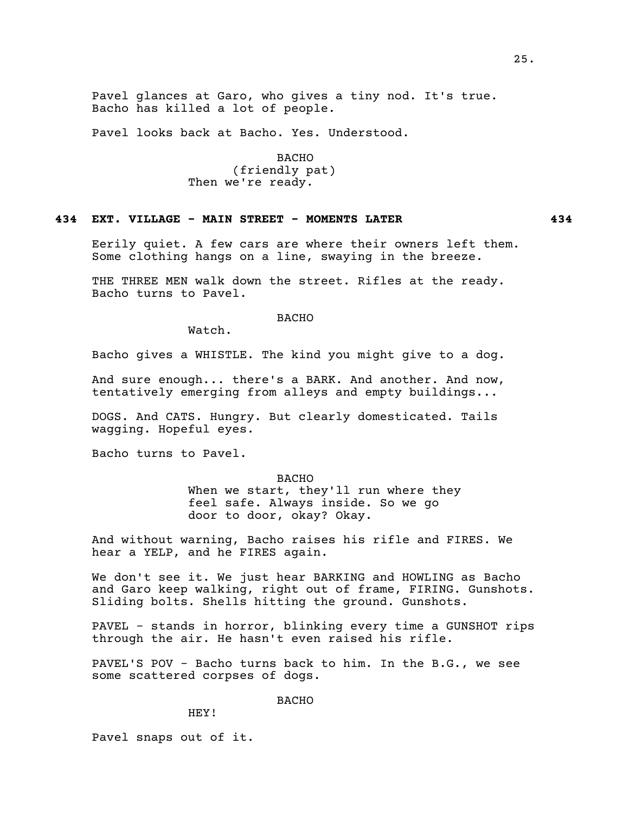Pavel glances at Garo, who gives a tiny nod. It's true. Bacho has killed a lot of people.

Pavel looks back at Bacho. Yes. Understood.

BACHO (friendly pat) Then we're ready.

## **434 EXT. VILLAGE - MAIN STREET - MOMENTS LATER 434**

Eerily quiet. A few cars are where their owners left them. Some clothing hangs on a line, swaying in the breeze.

THE THREE MEN walk down the street. Rifles at the ready. Bacho turns to Pavel.

BACHO

Watch.

Bacho gives a WHISTLE. The kind you might give to a dog.

And sure enough... there's a BARK. And another. And now, tentatively emerging from alleys and empty buildings...

DOGS. And CATS. Hungry. But clearly domesticated. Tails wagging. Hopeful eyes.

Bacho turns to Pavel.

#### BACHO

When we start, they'll run where they feel safe. Always inside. So we go door to door, okay? Okay.

And without warning, Bacho raises his rifle and FIRES. We hear a YELP, and he FIRES again.

We don't see it. We just hear BARKING and HOWLING as Bacho and Garo keep walking, right out of frame, FIRING. Gunshots. Sliding bolts. Shells hitting the ground. Gunshots.

PAVEL - stands in horror, blinking every time a GUNSHOT rips through the air. He hasn't even raised his rifle.

PAVEL'S POV - Bacho turns back to him. In the B.G., we see some scattered corpses of dogs.

#### BACHO

HEY!

Pavel snaps out of it.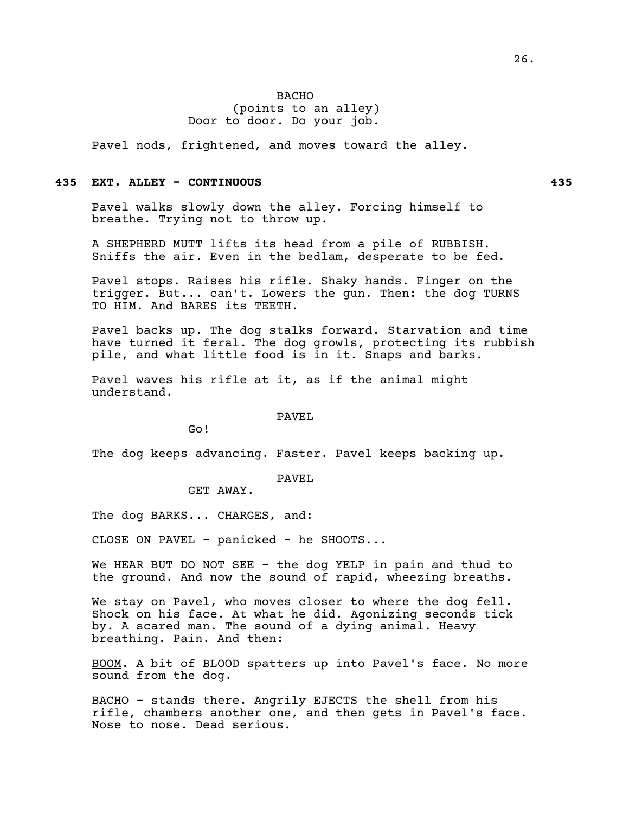## BACHO (points to an alley) Door to door. Do your job.

Pavel nods, frightened, and moves toward the alley.

## **435 EXT. ALLEY - CONTINUOUS 435**

Pavel walks slowly down the alley. Forcing himself to breathe. Trying not to throw up.

A SHEPHERD MUTT lifts its head from a pile of RUBBISH. Sniffs the air. Even in the bedlam, desperate to be fed.

Pavel stops. Raises his rifle. Shaky hands. Finger on the trigger. But... can't. Lowers the gun. Then: the dog TURNS TO HIM. And BARES its TEETH.

Pavel backs up. The dog stalks forward. Starvation and time have turned it feral. The dog growls, protecting its rubbish pile, and what little food is in it. Snaps and barks.

Pavel waves his rifle at it, as if the animal might understand.

#### PAVEL

Go!

The dog keeps advancing. Faster. Pavel keeps backing up.

# PAVEL

GET AWAY.

The dog BARKS... CHARGES, and:

CLOSE ON PAVEL - panicked - he SHOOTS...

We HEAR BUT DO NOT SEE - the dog YELP in pain and thud to the ground. And now the sound of rapid, wheezing breaths.

We stay on Pavel, who moves closer to where the dog fell. Shock on his face. At what he did. Agonizing seconds tick by. A scared man. The sound of a dying animal. Heavy breathing. Pain. And then:

BOOM. A bit of BLOOD spatters up into Pavel's face. No more sound from the dog.

BACHO - stands there. Angrily EJECTS the shell from his rifle, chambers another one, and then gets in Pavel's face. Nose to nose. Dead serious.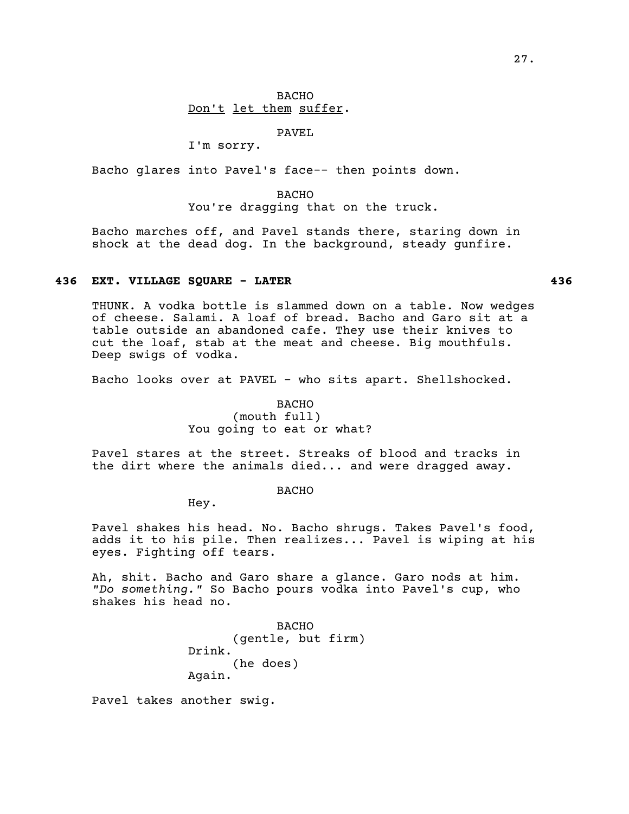# BACHO Don't let them suffer.

PAVEL

I'm sorry.

Bacho glares into Pavel's face-- then points down.

BACHO You're dragging that on the truck.

Bacho marches off, and Pavel stands there, staring down in shock at the dead dog. In the background, steady gunfire.

## **436 EXT. VILLAGE SQUARE - LATER 436**

THUNK. A vodka bottle is slammed down on a table. Now wedges of cheese. Salami. A loaf of bread. Bacho and Garo sit at a table outside an abandoned cafe. They use their knives to cut the loaf, stab at the meat and cheese. Big mouthfuls. Deep swigs of vodka.

Bacho looks over at PAVEL - who sits apart. Shellshocked.

## BACHO (mouth full) You going to eat or what?

Pavel stares at the street. Streaks of blood and tracks in the dirt where the animals died... and were dragged away.

BACHO

Hey.

Pavel shakes his head. No. Bacho shrugs. Takes Pavel's food, adds it to his pile. Then realizes... Pavel is wiping at his eyes. Fighting off tears.

Ah, shit. Bacho and Garo share a glance. Garo nods at him. *"Do something."* So Bacho pours vodka into Pavel's cup, who shakes his head no.

> BACHO (gentle, but firm) Drink. (he does) Again.

Pavel takes another swig.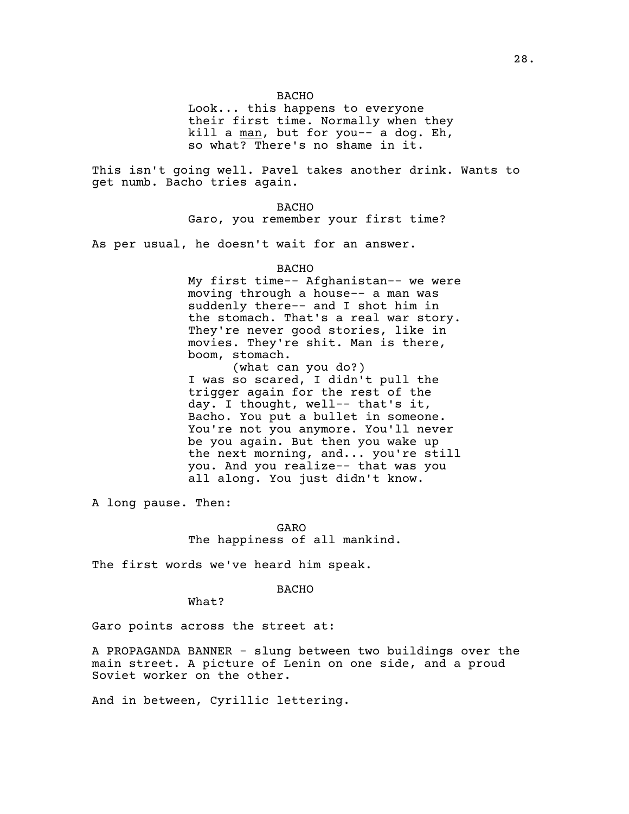Look... this happens to everyone their first time. Normally when they kill a man, but for you-- a dog. Eh, so what? There's no shame in it.

This isn't going well. Pavel takes another drink. Wants to get numb. Bacho tries again.

> **BACHO** Garo, you remember your first time?

As per usual, he doesn't wait for an answer.

#### BACHO

My first time-- Afghanistan-- we were moving through a house-- a man was suddenly there-- and I shot him in the stomach. That's a real war story. They're never good stories, like in movies. They're shit. Man is there, boom, stomach.

(what can you do?) I was so scared, I didn't pull the trigger again for the rest of the day. I thought, well-- that's it, Bacho. You put a bullet in someone. You're not you anymore. You'll never be you again. But then you wake up the next morning, and... you're still you. And you realize-- that was you all along. You just didn't know.

A long pause. Then:

GARO The happiness of all mankind.

The first words we've heard him speak.

BACHO

What?

Garo points across the street at:

A PROPAGANDA BANNER - slung between two buildings over the main street. A picture of Lenin on one side, and a proud Soviet worker on the other.

And in between, Cyrillic lettering.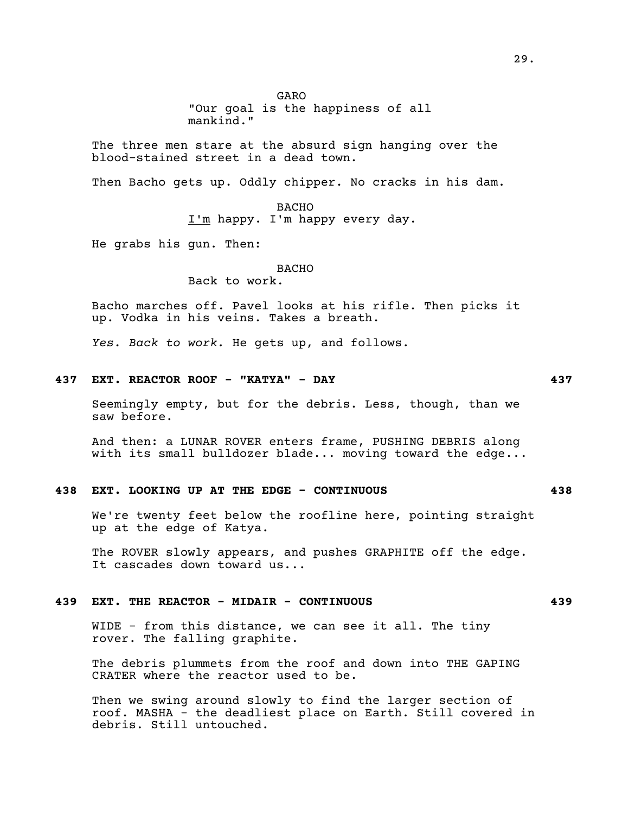GARO

"Our goal is the happiness of all mankind."

The three men stare at the absurd sign hanging over the blood-stained street in a dead town.

Then Bacho gets up. Oddly chipper. No cracks in his dam.

**BACHO** I'm happy. I'm happy every day.

He grabs his gun. Then:

#### **BACHO**

Back to work.

Bacho marches off. Pavel looks at his rifle. Then picks it up. Vodka in his veins. Takes a breath.

*Yes. Back to work.* He gets up, and follows.

## **437 EXT. REACTOR ROOF - "KATYA" - DAY 437**

Seemingly empty, but for the debris. Less, though, than we saw before.

And then: a LUNAR ROVER enters frame, PUSHING DEBRIS along with its small bulldozer blade... moving toward the edge...

#### **438 EXT. LOOKING UP AT THE EDGE - CONTINUOUS 438**

We're twenty feet below the roofline here, pointing straight up at the edge of Katya.

The ROVER slowly appears, and pushes GRAPHITE off the edge. It cascades down toward us...

## **439 EXT. THE REACTOR - MIDAIR - CONTINUOUS 439**

WIDE - from this distance, we can see it all. The tiny rover. The falling graphite.

The debris plummets from the roof and down into THE GAPING CRATER where the reactor used to be.

Then we swing around slowly to find the larger section of roof. MASHA - the deadliest place on Earth. Still covered in debris. Still untouched.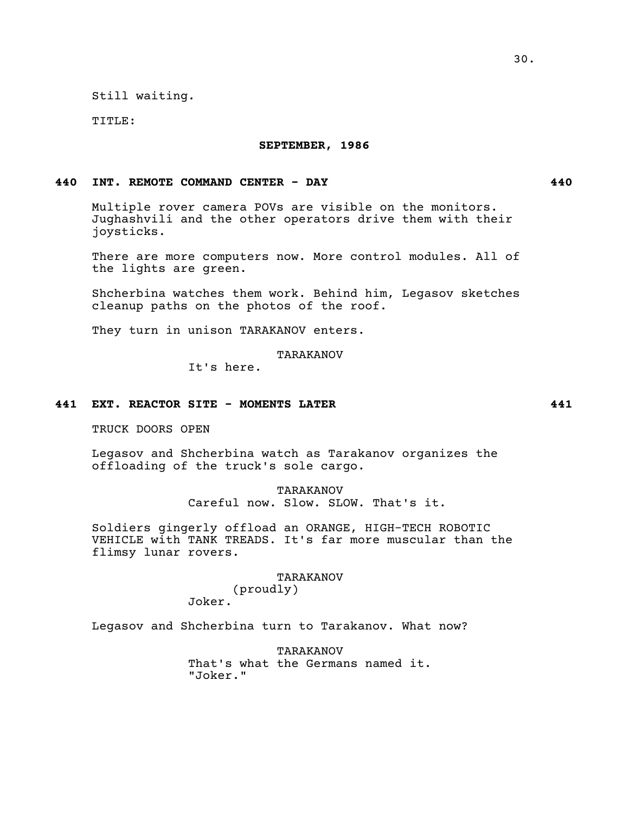Still waiting*.*

TITLE:

#### **SEPTEMBER, 1986**

## **440 INT. REMOTE COMMAND CENTER - DAY 440**

Multiple rover camera POVs are visible on the monitors. Jughashvili and the other operators drive them with their joysticks.

There are more computers now. More control modules. All of the lights are green.

Shcherbina watches them work. Behind him, Legasov sketches cleanup paths on the photos of the roof.

They turn in unison TARAKANOV enters.

TARAKANOV

It's here.

## **441 EXT. REACTOR SITE - MOMENTS LATER 441**

TRUCK DOORS OPEN

Legasov and Shcherbina watch as Tarakanov organizes the offloading of the truck's sole cargo.

> TARAKANOV Careful now. Slow. SLOW. That's it.

Soldiers gingerly offload an ORANGE, HIGH-TECH ROBOTIC VEHICLE with TANK TREADS. It's far more muscular than the flimsy lunar rovers.

## TARAKANOV

(proudly) Joker.

Legasov and Shcherbina turn to Tarakanov. What now?

TARAKANOV That's what the Germans named it. "Joker."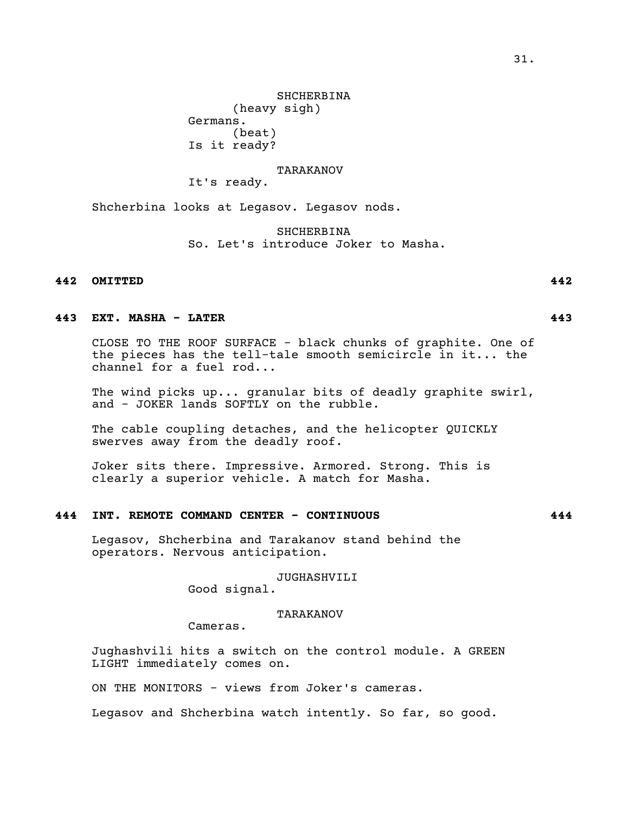**SHCHERBINA** (heavy sigh) Germans. (beat) Is it ready?

## TARAKANOV

It's ready.

Shcherbina looks at Legasov. Legasov nods.

SHCHERBINA So. Let's introduce Joker to Masha.

## **442 OMITTED 442**

## **443 EXT. MASHA - LATER 443**

CLOSE TO THE ROOF SURFACE - black chunks of graphite. One of the pieces has the tell-tale smooth semicircle in it... the channel for a fuel rod...

The wind picks up... granular bits of deadly graphite swirl, and - JOKER lands SOFTLY on the rubble.

The cable coupling detaches, and the helicopter QUICKLY swerves away from the deadly roof.

Joker sits there. Impressive. Armored. Strong. This is clearly a superior vehicle. A match for Masha.

# **444 INT. REMOTE COMMAND CENTER - CONTINUOUS 444**

Legasov, Shcherbina and Tarakanov stand behind the operators. Nervous anticipation.

JUGHASHVILI

Good signal.

## TARAKANOV

Cameras.

Jughashvili hits a switch on the control module. A GREEN LIGHT immediately comes on.

ON THE MONITORS - views from Joker's cameras.

Legasov and Shcherbina watch intently. So far, so good.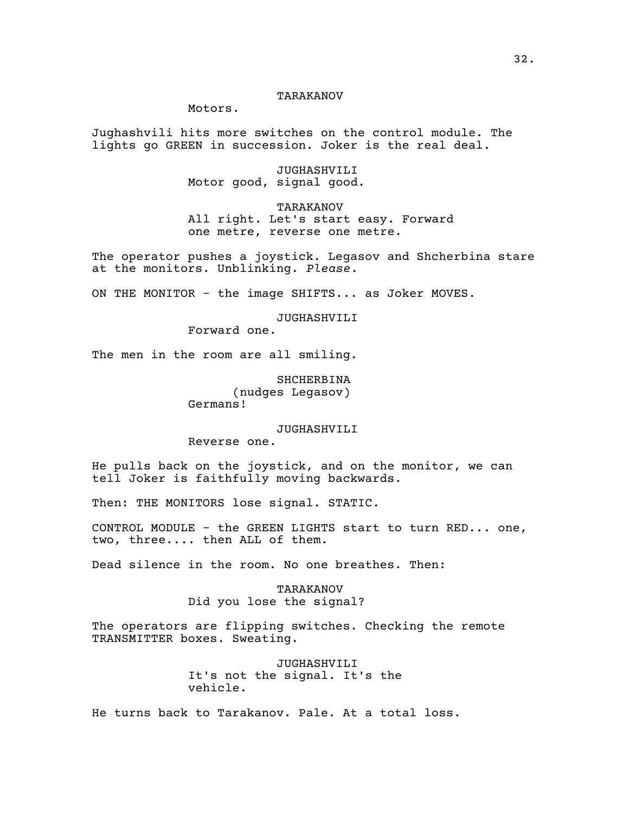## TARAKANOV

Motors.

Jughashvili hits more switches on the control module. The lights go GREEN in succession. Joker is the real deal.

> JUGHASHVILI Motor good, signal good.

TARAKANOV All right. Let's start easy. Forward one metre, reverse one metre.

The operator pushes a joystick. Legasov and Shcherbina stare at the monitors. Unblinking. *Please*.

ON THE MONITOR - the image SHIFTS... as Joker MOVES.

JUGHASHVILI

Forward one.

The men in the room are all smiling.

SHCHERBINA (nudges Legasov) Germans!

JUGHASHVILI

Reverse one.

He pulls back on the joystick, and on the monitor, we can tell Joker is faithfully moving backwards.

Then: THE MONITORS lose signal. STATIC.

CONTROL MODULE - the GREEN LIGHTS start to turn RED... one, two, three.... then ALL of them.

Dead silence in the room. No one breathes. Then:

TARAKANOV Did you lose the signal?

The operators are flipping switches. Checking the remote TRANSMITTER boxes. Sweating.

> JUGHASHVILI It's not the signal. It's the vehicle.

He turns back to Tarakanov. Pale. At a total loss.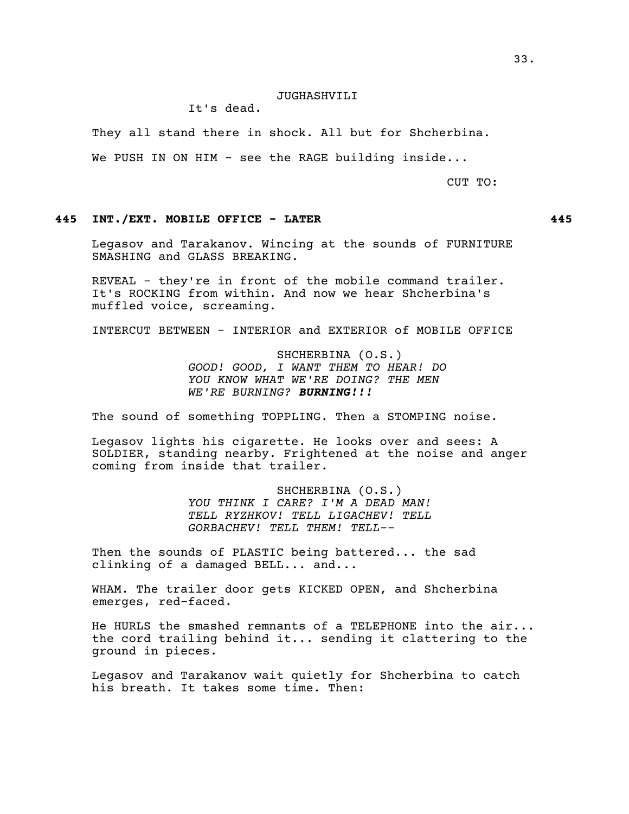## JUGHASHVILI

It's dead.

They all stand there in shock. All but for Shcherbina.

We PUSH IN ON HIM - see the RAGE building inside...

CUT TO:

## **445 INT./EXT. MOBILE OFFICE - LATER 445**

Legasov and Tarakanov. Wincing at the sounds of FURNITURE SMASHING and GLASS BREAKING.

REVEAL - they're in front of the mobile command trailer. It's ROCKING from within. And now we hear Shcherbina's muffled voice, screaming.

INTERCUT BETWEEN - INTERIOR and EXTERIOR of MOBILE OFFICE

SHCHERBINA (O.S.) *GOOD! GOOD, I WANT THEM TO HEAR! DO YOU KNOW WHAT WE'RE DOING? THE MEN WE'RE BURNING? BURNING!!!*

The sound of something TOPPLING. Then a STOMPING noise.

Legasov lights his cigarette. He looks over and sees: A SOLDIER, standing nearby. Frightened at the noise and anger coming from inside that trailer.

> SHCHERBINA (O.S.) *YOU THINK I CARE? I'M A DEAD MAN! TELL RYZHKOV! TELL LIGACHEV! TELL GORBACHEV! TELL THEM! TELL--*

Then the sounds of PLASTIC being battered... the sad clinking of a damaged BELL... and...

WHAM. The trailer door gets KICKED OPEN, and Shcherbina emerges, red-faced.

He HURLS the smashed remnants of a TELEPHONE into the air... the cord trailing behind it... sending it clattering to the ground in pieces.

Legasov and Tarakanov wait quietly for Shcherbina to catch his breath. It takes some time. Then: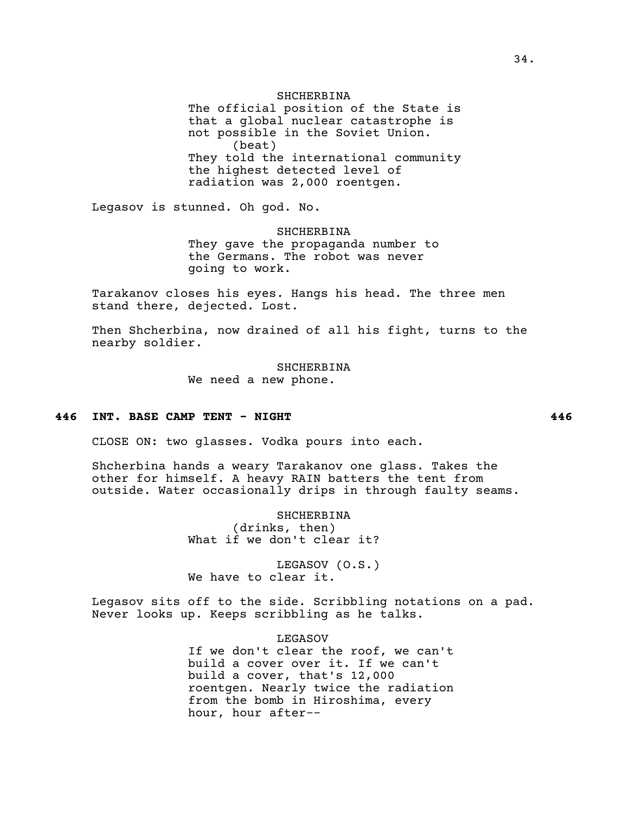SHCHERBINA The official position of the State is that a global nuclear catastrophe is not possible in the Soviet Union. (beat) They told the international community the highest detected level of radiation was 2,000 roentgen.

Legasov is stunned. Oh god. No.

SHCHERBINA They gave the propaganda number to the Germans. The robot was never going to work.

Tarakanov closes his eyes. Hangs his head. The three men stand there, dejected. Lost.

Then Shcherbina, now drained of all his fight, turns to the nearby soldier.

> SHCHERBINA We need a new phone.

#### **446 INT. BASE CAMP TENT - NIGHT 446**

CLOSE ON: two glasses. Vodka pours into each.

Shcherbina hands a weary Tarakanov one glass. Takes the other for himself. A heavy RAIN batters the tent from outside. Water occasionally drips in through faulty seams.

> SHCHERBINA (drinks, then) What if we don't clear it?

> LEGASOV (O.S.) We have to clear it.

Legasov sits off to the side. Scribbling notations on a pad. Never looks up. Keeps scribbling as he talks.

> LEGASOV If we don't clear the roof, we can't build a cover over it. If we can't build a cover, that's 12,000 roentgen. Nearly twice the radiation from the bomb in Hiroshima, every hour, hour after--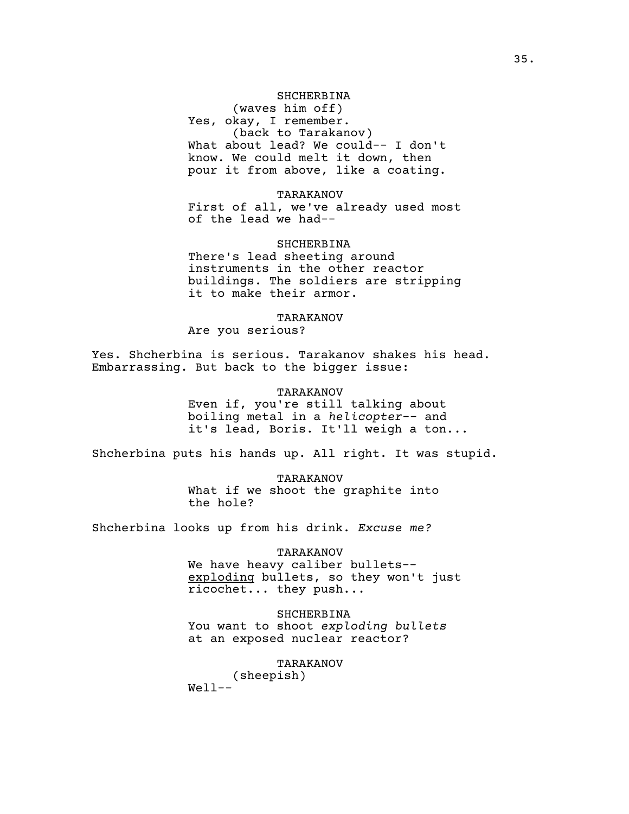## SHCHERBINA

(waves him off) Yes, okay, I remember. (back to Tarakanov) What about lead? We could-- I don't know. We could melt it down, then pour it from above, like a coating.

#### TARAKANOV

First of all, we've already used most of the lead we had--

## SHCHERBINA

There's lead sheeting around instruments in the other reactor buildings. The soldiers are stripping it to make their armor.

#### TARAKANOV

Are you serious?

Yes. Shcherbina is serious. Tarakanov shakes his head. Embarrassing. But back to the bigger issue:

#### TARAKANOV

Even if, you're still talking about boiling metal in a *helicopter*-- and it's lead, Boris. It'll weigh a ton...

Shcherbina puts his hands up. All right. It was stupid.

TARAKANOV What if we shoot the graphite into the hole?

Shcherbina looks up from his drink. *Excuse me?*

#### TARAKANOV

We have heavy caliber bullets-exploding bullets, so they won't just ricochet... they push...

SHCHERBINA You want to shoot *exploding bullets* at an exposed nuclear reactor?

TARAKANOV

(sheepish)  $We11--$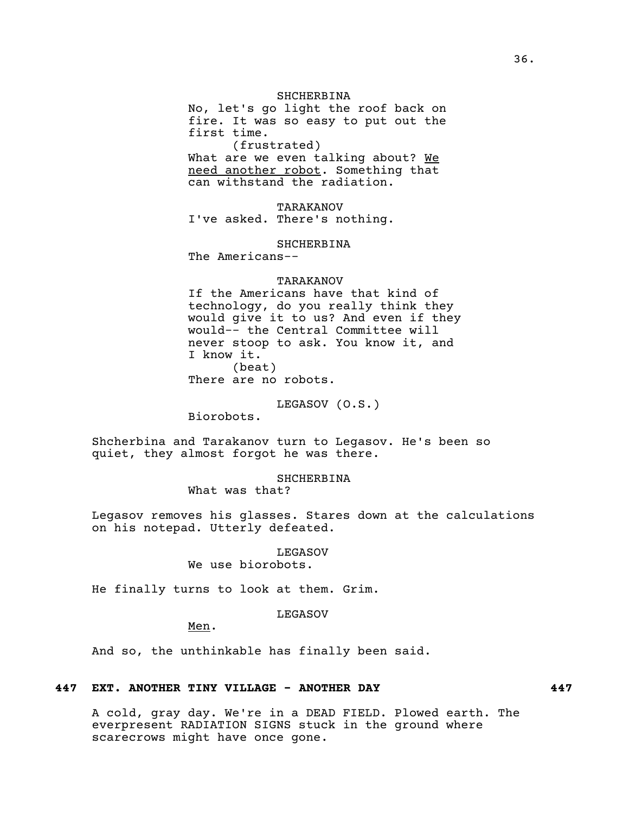#### SHCHERBINA

No, let's go light the roof back on fire. It was so easy to put out the first time. (frustrated) What are we even talking about? We

need another robot. Something that can withstand the radiation.

TARAKANOV I've asked. There's nothing.

SHCHERBINA

The Americans--

#### TARAKANOV

If the Americans have that kind of technology, do you really think they would give it to us? And even if they would-- the Central Committee will never stoop to ask. You know it, and I know it. (beat) There are no robots.

LEGASOV (O.S.)

Biorobots.

Shcherbina and Tarakanov turn to Legasov. He's been so quiet, they almost forgot he was there.

## **SHCHERBINA**

What was that?

Legasov removes his glasses. Stares down at the calculations on his notepad. Utterly defeated.

# LEGASOV

We use biorobots.

He finally turns to look at them. Grim.

## LEGASOV

Men.

And so, the unthinkable has finally been said.

#### **447 EXT. ANOTHER TINY VILLAGE - ANOTHER DAY 447**

A cold, gray day. We're in a DEAD FIELD. Plowed earth. The everpresent RADIATION SIGNS stuck in the ground where scarecrows might have once gone.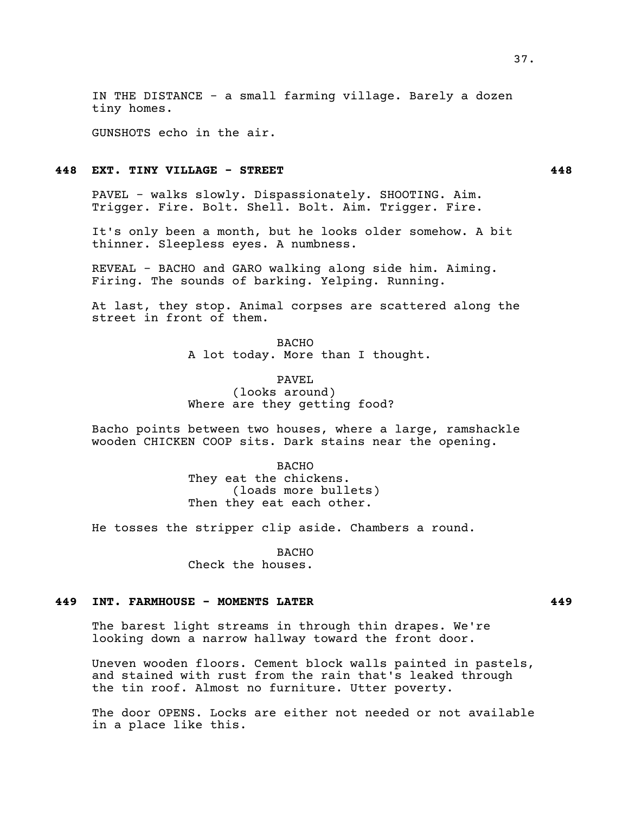IN THE DISTANCE - a small farming village. Barely a dozen tiny homes.

GUNSHOTS echo in the air.

## **448 EXT. TINY VILLAGE - STREET 448**

PAVEL - walks slowly. Dispassionately. SHOOTING. Aim. Trigger. Fire. Bolt. Shell. Bolt. Aim. Trigger. Fire.

It's only been a month, but he looks older somehow. A bit thinner. Sleepless eyes. A numbness.

REVEAL - BACHO and GARO walking along side him. Aiming. Firing. The sounds of barking. Yelping. Running.

At last, they stop. Animal corpses are scattered along the street in front of them.

> BACHO A lot today. More than I thought.

PAVEL (looks around) Where are they getting food?

Bacho points between two houses, where a large, ramshackle wooden CHICKEN COOP sits. Dark stains near the opening.

> **BACHO** They eat the chickens. (loads more bullets) Then they eat each other.

He tosses the stripper clip aside. Chambers a round.

BACHO Check the houses.

## **449 INT. FARMHOUSE - MOMENTS LATER 449**

The barest light streams in through thin drapes. We're looking down a narrow hallway toward the front door.

Uneven wooden floors. Cement block walls painted in pastels, and stained with rust from the rain that's leaked through the tin roof. Almost no furniture. Utter poverty.

The door OPENS. Locks are either not needed or not available in a place like this.

37.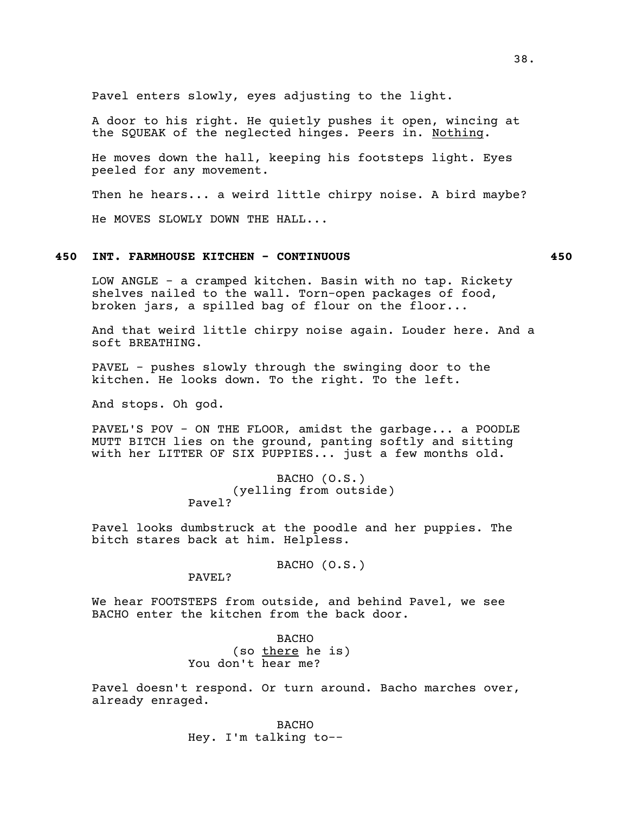Pavel enters slowly, eyes adjusting to the light.

A door to his right. He quietly pushes it open, wincing at the SQUEAK of the neglected hinges. Peers in. Nothing.

He moves down the hall, keeping his footsteps light. Eyes peeled for any movement.

Then he hears... a weird little chirpy noise. A bird maybe?

He MOVES SLOWLY DOWN THE HALL...

# **450 INT. FARMHOUSE KITCHEN - CONTINUOUS 450**

LOW ANGLE - a cramped kitchen. Basin with no tap. Rickety shelves nailed to the wall. Torn-open packages of food, broken jars, a spilled bag of flour on the floor...

And that weird little chirpy noise again. Louder here. And a soft BREATHING.

PAVEL - pushes slowly through the swinging door to the kitchen. He looks down. To the right. To the left.

And stops. Oh god.

PAVEL'S POV - ON THE FLOOR, amidst the garbage... a POODLE MUTT BITCH lies on the ground, panting softly and sitting with her LITTER OF SIX PUPPIES... just a few months old.

#### BACHO (O.S.) (yelling from outside) Pavel?

Pavel looks dumbstruck at the poodle and her puppies. The bitch stares back at him. Helpless.

BACHO (O.S.)

PAVEL?

We hear FOOTSTEPS from outside, and behind Pavel, we see BACHO enter the kitchen from the back door.

> **BACHO** (so there he is) You don't hear me?

Pavel doesn't respond. Or turn around. Bacho marches over, already enraged.

> BACHO Hey. I'm talking to--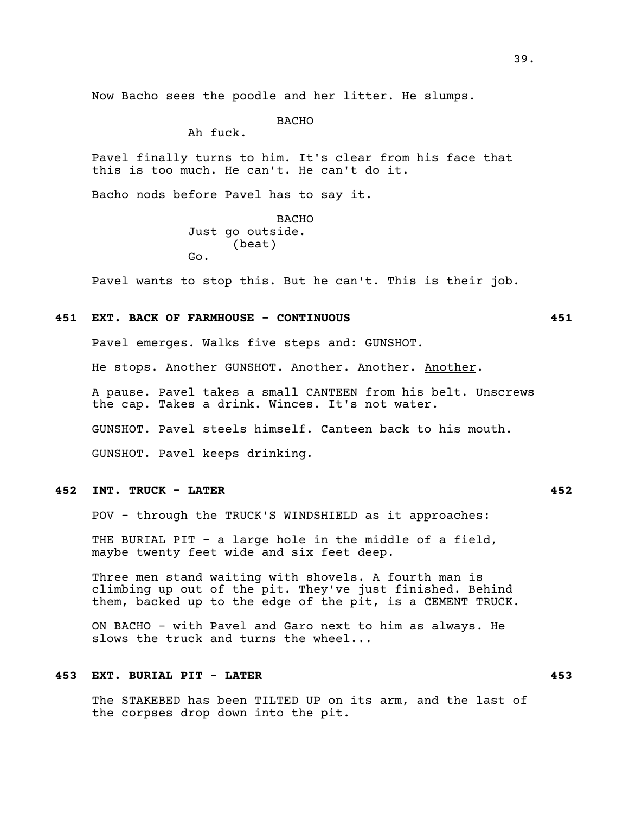Now Bacho sees the poodle and her litter. He slumps.

**BACHO** 

Ah fuck.

Pavel finally turns to him. It's clear from his face that this is too much. He can't. He can't do it.

Bacho nods before Pavel has to say it.

BACHO Just go outside. (beat) Go.

Pavel wants to stop this. But he can't. This is their job.

### **451 EXT. BACK OF FARMHOUSE - CONTINUOUS 451**

Pavel emerges. Walks five steps and: GUNSHOT. He stops. Another GUNSHOT. Another. Another. Another. A pause. Pavel takes a small CANTEEN from his belt. Unscrews the cap. Takes a drink. Winces. It's not water. GUNSHOT. Pavel steels himself. Canteen back to his mouth. GUNSHOT. Pavel keeps drinking.

## **452 INT. TRUCK - LATER 452**

POV - through the TRUCK'S WINDSHIELD as it approaches:

THE BURIAL PIT - a large hole in the middle of a field, maybe twenty feet wide and six feet deep.

Three men stand waiting with shovels. A fourth man is climbing up out of the pit. They've just finished. Behind them, backed up to the edge of the pit, is a CEMENT TRUCK.

ON BACHO - with Pavel and Garo next to him as always. He slows the truck and turns the wheel...

## **453 EXT. BURIAL PIT - LATER 453**

The STAKEBED has been TILTED UP on its arm, and the last of the corpses drop down into the pit.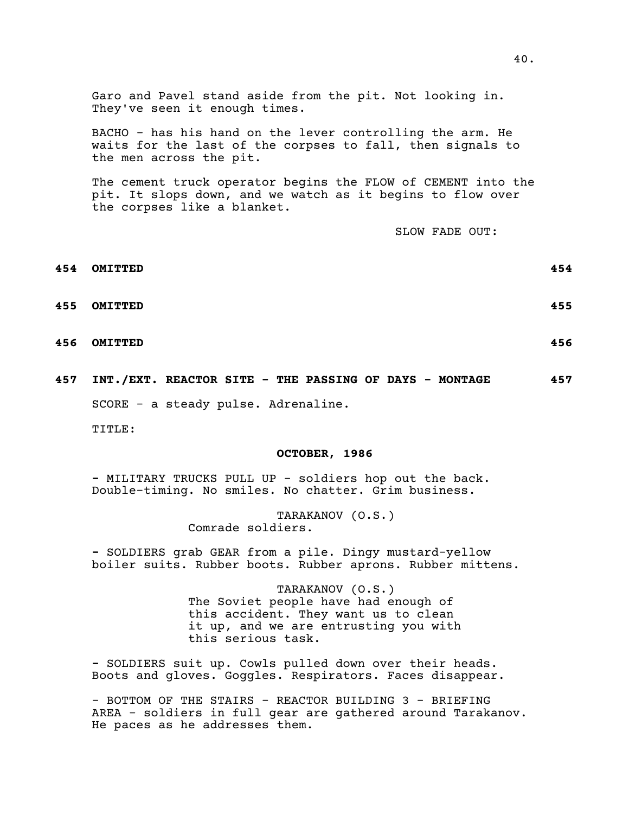Garo and Pavel stand aside from the pit. Not looking in. They've seen it enough times.

BACHO - has his hand on the lever controlling the arm. He waits for the last of the corpses to fall, then signals to the men across the pit.

The cement truck operator begins the FLOW of CEMENT into the pit. It slops down, and we watch as it begins to flow over the corpses like a blanket.

SLOW FADE OUT:

- **454 OMITTED 454**
- 
- **456 OMITTED 456**
- **457 INT./EXT. REACTOR SITE THE PASSING OF DAYS MONTAGE 457** SCORE - a steady pulse. Adrenaline.

TITLE:

#### **OCTOBER, 1986**

**-** MILITARY TRUCKS PULL UP - soldiers hop out the back. Double-timing. No smiles. No chatter. Grim business.

> TARAKANOV (O.S.) Comrade soldiers.

**-** SOLDIERS grab GEAR from a pile. Dingy mustard-yellow boiler suits. Rubber boots. Rubber aprons. Rubber mittens.

> TARAKANOV (O.S.) The Soviet people have had enough of this accident. They want us to clean it up, and we are entrusting you with this serious task.

**-** SOLDIERS suit up. Cowls pulled down over their heads. Boots and gloves. Goggles. Respirators. Faces disappear.

- BOTTOM OF THE STAIRS - REACTOR BUILDING 3 - BRIEFING AREA - soldiers in full gear are gathered around Tarakanov. He paces as he addresses them.

- 
- 
- 
- 
- **455 OMITTED 455**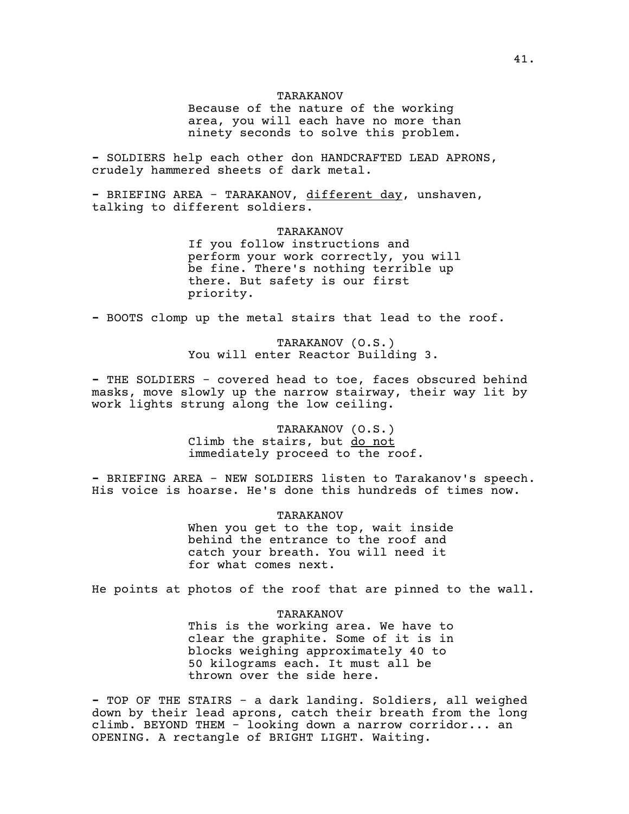#### TARAKANOV

Because of the nature of the working area, you will each have no more than ninety seconds to solve this problem.

**-** SOLDIERS help each other don HANDCRAFTED LEAD APRONS, crudely hammered sheets of dark metal.

**-** BRIEFING AREA - TARAKANOV, different day, unshaven, talking to different soldiers.

#### TARAKANOV

If you follow instructions and perform your work correctly, you will be fine. There's nothing terrible up there. But safety is our first priority.

**-** BOOTS clomp up the metal stairs that lead to the roof.

TARAKANOV (O.S.) You will enter Reactor Building 3.

**-** THE SOLDIERS - covered head to toe, faces obscured behind masks, move slowly up the narrow stairway, their way lit by work lights strung along the low ceiling.

> TARAKANOV (O.S.) Climb the stairs, but do not immediately proceed to the roof.

**-** BRIEFING AREA - NEW SOLDIERS listen to Tarakanov's speech. His voice is hoarse. He's done this hundreds of times now.

> TARAKANOV When you get to the top, wait inside behind the entrance to the roof and catch your breath. You will need it for what comes next.

He points at photos of the roof that are pinned to the wall.

## TARAKANOV

This is the working area. We have to clear the graphite. Some of it is in blocks weighing approximately 40 to 50 kilograms each. It must all be thrown over the side here.

**-** TOP OF THE STAIRS - a dark landing. Soldiers, all weighed down by their lead aprons, catch their breath from the long climb. BEYOND THEM - looking down a narrow corridor... an OPENING. A rectangle of BRIGHT LIGHT. Waiting.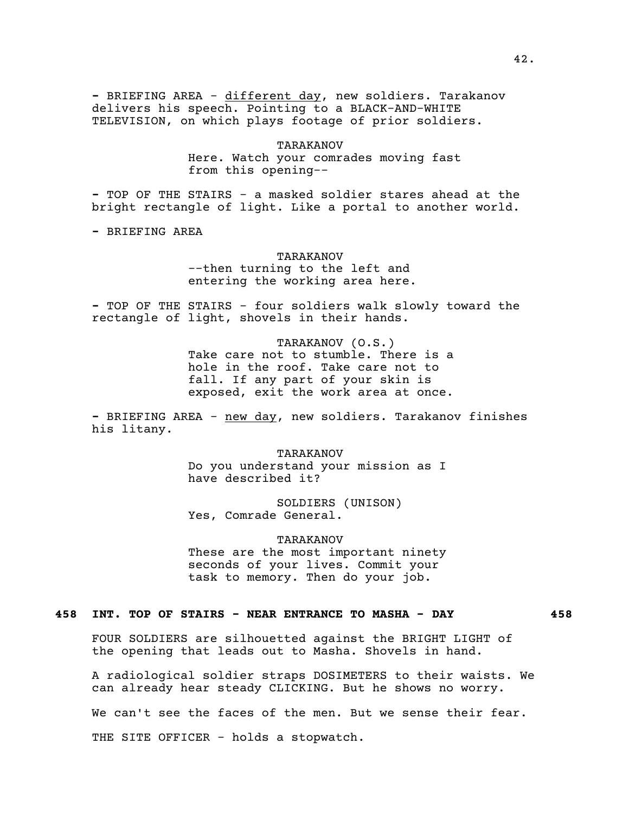**-** BRIEFING AREA - different day, new soldiers. Tarakanov delivers his speech. Pointing to a BLACK-AND-WHITE TELEVISION, on which plays footage of prior soldiers.

> TARAKANOV Here. Watch your comrades moving fast from this opening--

**-** TOP OF THE STAIRS - a masked soldier stares ahead at the bright rectangle of light. Like a portal to another world.

**-** BRIEFING AREA

TARAKANOV --then turning to the left and entering the working area here.

**-** TOP OF THE STAIRS - four soldiers walk slowly toward the rectangle of light, shovels in their hands.

> TARAKANOV (O.S.) Take care not to stumble. There is a hole in the roof. Take care not to fall. If any part of your skin is exposed, exit the work area at once.

**-** BRIEFING AREA - new day, new soldiers. Tarakanov finishes his litany.

> TARAKANOV Do you understand your mission as I have described it?

SOLDIERS (UNISON) Yes, Comrade General.

TARAKANOV

These are the most important ninety seconds of your lives. Commit your task to memory. Then do your job.

## **458 INT. TOP OF STAIRS - NEAR ENTRANCE TO MASHA - DAY 458**

FOUR SOLDIERS are silhouetted against the BRIGHT LIGHT of the opening that leads out to Masha. Shovels in hand.

A radiological soldier straps DOSIMETERS to their waists. We can already hear steady CLICKING. But he shows no worry.

We can't see the faces of the men. But we sense their fear.

THE SITE OFFICER - holds a stopwatch.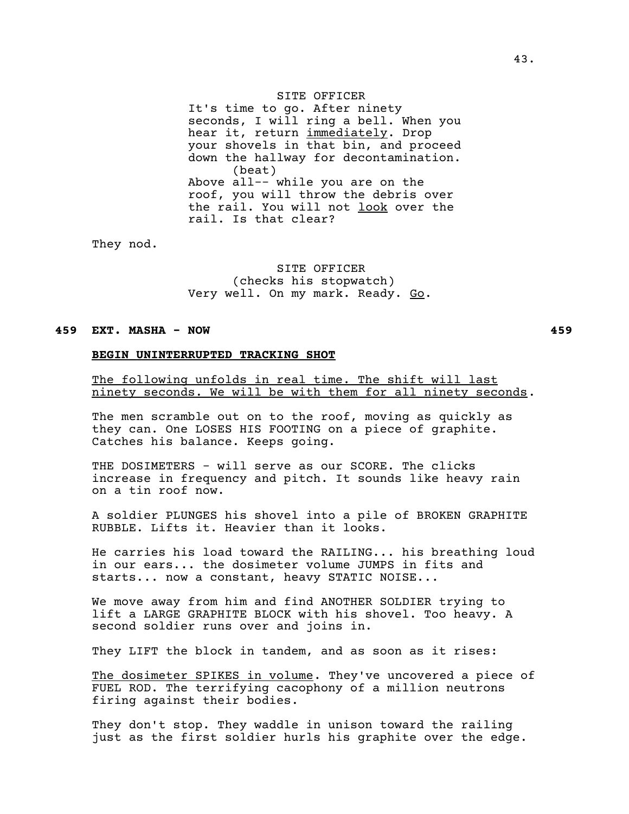### SITE OFFICER

It's time to go. After ninety seconds, I will ring a bell. When you hear it, return immediately. Drop your shovels in that bin, and proceed down the hallway for decontamination. (beat) Above all-- while you are on the roof, you will throw the debris over the rail. You will not look over the rail. Is that clear?

They nod.

SITE OFFICER (checks his stopwatch) Very well. On my mark. Ready. Go.

## **459 EXT. MASHA - NOW 459**

## **BEGIN UNINTERRUPTED TRACKING SHOT**

The following unfolds in real time. The shift will last ninety seconds. We will be with them for all ninety seconds.

The men scramble out on to the roof, moving as quickly as they can. One LOSES HIS FOOTING on a piece of graphite. Catches his balance. Keeps going.

THE DOSIMETERS - will serve as our SCORE. The clicks increase in frequency and pitch. It sounds like heavy rain on a tin roof now.

A soldier PLUNGES his shovel into a pile of BROKEN GRAPHITE RUBBLE. Lifts it. Heavier than it looks.

He carries his load toward the RAILING... his breathing loud in our ears... the dosimeter volume JUMPS in fits and starts... now a constant, heavy STATIC NOISE...

We move away from him and find ANOTHER SOLDIER trying to lift a LARGE GRAPHITE BLOCK with his shovel. Too heavy. A second soldier runs over and joins in.

They LIFT the block in tandem, and as soon as it rises:

The dosimeter SPIKES in volume. They've uncovered a piece of FUEL ROD. The terrifying cacophony of a million neutrons firing against their bodies.

They don't stop. They waddle in unison toward the railing just as the first soldier hurls his graphite over the edge.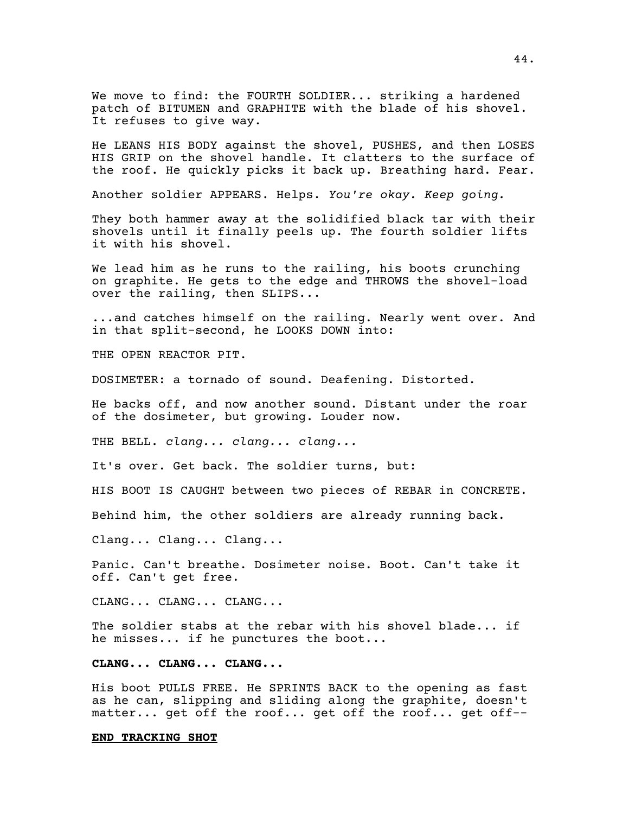We move to find: the FOURTH SOLDIER... striking a hardened patch of BITUMEN and GRAPHITE with the blade of his shovel. It refuses to give way.

He LEANS HIS BODY against the shovel, PUSHES, and then LOSES HIS GRIP on the shovel handle. It clatters to the surface of the roof. He quickly picks it back up. Breathing hard. Fear.

Another soldier APPEARS. Helps. *You're okay. Keep going.*

They both hammer away at the solidified black tar with their shovels until it finally peels up. The fourth soldier lifts it with his shovel.

We lead him as he runs to the railing, his boots crunching on graphite. He gets to the edge and THROWS the shovel-load over the railing, then SLIPS...

...and catches himself on the railing. Nearly went over. And in that split-second, he LOOKS DOWN into:

THE OPEN REACTOR PIT.

DOSIMETER: a tornado of sound. Deafening. Distorted.

He backs off, and now another sound. Distant under the roar of the dosimeter, but growing. Louder now.

THE BELL. *clang... clang... clang...*

It's over. Get back. The soldier turns, but:

HIS BOOT IS CAUGHT between two pieces of REBAR in CONCRETE.

Behind him, the other soldiers are already running back.

Clang... Clang... Clang...

Panic. Can't breathe. Dosimeter noise. Boot. Can't take it off. Can't get free.

CLANG... CLANG... CLANG...

The soldier stabs at the rebar with his shovel blade... if he misses... if he punctures the boot...

**CLANG... CLANG... CLANG...**

His boot PULLS FREE. He SPRINTS BACK to the opening as fast as he can, slipping and sliding along the graphite, doesn't matter... get off the roof... get off the roof... get off--

#### **END TRACKING SHOT**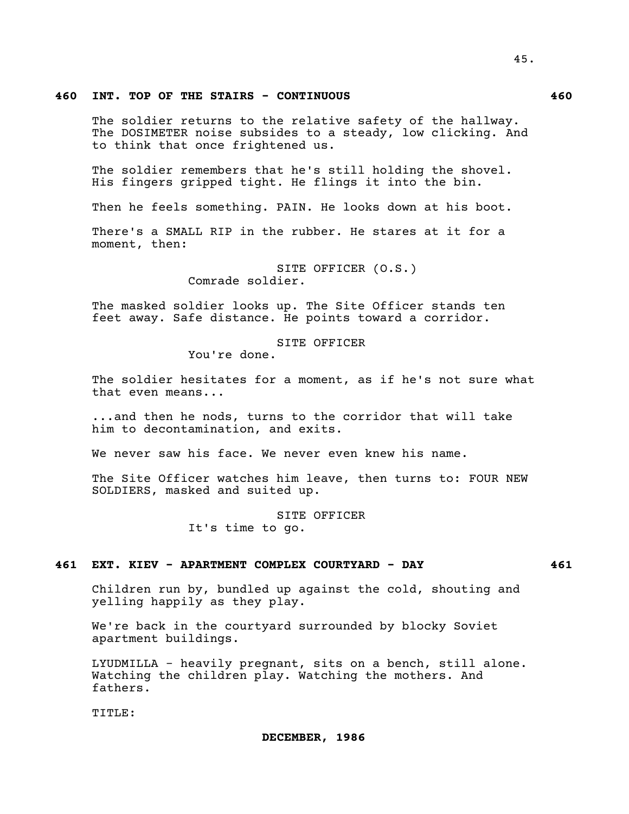## **460 INT. TOP OF THE STAIRS - CONTINUOUS 460**

The soldier returns to the relative safety of the hallway. The DOSIMETER noise subsides to a steady, low clicking. And to think that once frightened us.

The soldier remembers that he's still holding the shovel. His fingers gripped tight. He flings it into the bin.

Then he feels something. PAIN. He looks down at his boot.

There's a SMALL RIP in the rubber. He stares at it for a moment, then:

> SITE OFFICER (O.S.) Comrade soldier.

The masked soldier looks up. The Site Officer stands ten feet away. Safe distance. He points toward a corridor.

SITE OFFICER

You're done.

The soldier hesitates for a moment, as if he's not sure what that even means...

...and then he nods, turns to the corridor that will take him to decontamination, and exits.

We never saw his face. We never even knew his name.

The Site Officer watches him leave, then turns to: FOUR NEW SOLDIERS, masked and suited up.

> SITE OFFICER It's time to go.

### **461 EXT. KIEV - APARTMENT COMPLEX COURTYARD - DAY 461**

Children run by, bundled up against the cold, shouting and yelling happily as they play.

We're back in the courtyard surrounded by blocky Soviet apartment buildings.

LYUDMILLA - heavily pregnant, sits on a bench, still alone. Watching the children play. Watching the mothers. And fathers.

TITLE: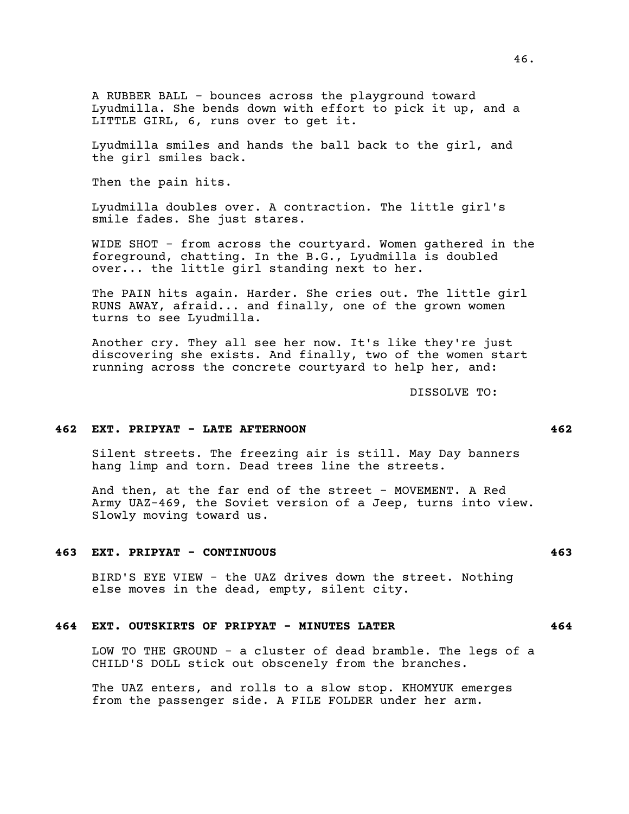A RUBBER BALL - bounces across the playground toward Lyudmilla. She bends down with effort to pick it up, and a LITTLE GIRL, 6, runs over to get it.

Lyudmilla smiles and hands the ball back to the girl, and the girl smiles back.

Then the pain hits.

Lyudmilla doubles over. A contraction. The little girl's smile fades. She just stares.

WIDE SHOT - from across the courtyard. Women gathered in the foreground, chatting. In the B.G., Lyudmilla is doubled over... the little girl standing next to her.

The PAIN hits again. Harder. She cries out. The little girl RUNS AWAY, afraid... and finally, one of the grown women turns to see Lyudmilla.

Another cry. They all see her now. It's like they're just discovering she exists. And finally, two of the women start running across the concrete courtyard to help her, and:

DISSOLVE TO:

#### **462 EXT. PRIPYAT - LATE AFTERNOON 462**

Silent streets. The freezing air is still. May Day banners hang limp and torn. Dead trees line the streets.

And then, at the far end of the street - MOVEMENT. A Red Army UAZ-469, the Soviet version of a Jeep, turns into view. Slowly moving toward us.

#### **463 EXT. PRIPYAT - CONTINUOUS 463**

BIRD'S EYE VIEW - the UAZ drives down the street. Nothing else moves in the dead, empty, silent city.

#### **464 EXT. OUTSKIRTS OF PRIPYAT - MINUTES LATER 464**

LOW TO THE GROUND - a cluster of dead bramble. The legs of a CHILD'S DOLL stick out obscenely from the branches.

The UAZ enters, and rolls to a slow stop. KHOMYUK emerges from the passenger side. A FILE FOLDER under her arm.

## 46.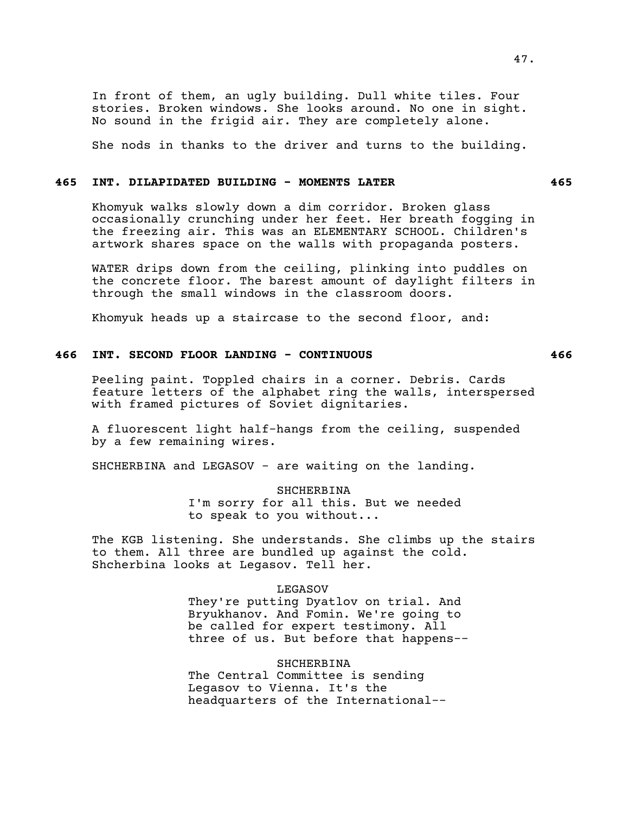In front of them, an ugly building. Dull white tiles. Four stories. Broken windows. She looks around. No one in sight. No sound in the frigid air. They are completely alone.

She nods in thanks to the driver and turns to the building.

## **465 INT. DILAPIDATED BUILDING - MOMENTS LATER 465**

Khomyuk walks slowly down a dim corridor. Broken glass occasionally crunching under her feet. Her breath fogging in the freezing air. This was an ELEMENTARY SCHOOL. Children's artwork shares space on the walls with propaganda posters.

WATER drips down from the ceiling, plinking into puddles on the concrete floor. The barest amount of daylight filters in through the small windows in the classroom doors.

Khomyuk heads up a staircase to the second floor, and:

# **466 INT. SECOND FLOOR LANDING - CONTINUOUS 466**

Peeling paint. Toppled chairs in a corner. Debris. Cards feature letters of the alphabet ring the walls, interspersed with framed pictures of Soviet dignitaries.

A fluorescent light half-hangs from the ceiling, suspended by a few remaining wires.

SHCHERBINA and LEGASOV - are waiting on the landing.

SHCHERBINA I'm sorry for all this. But we needed to speak to you without...

The KGB listening. She understands. She climbs up the stairs to them. All three are bundled up against the cold. Shcherbina looks at Legasov. Tell her.

## LEGASOV

They're putting Dyatlov on trial. And Bryukhanov. And Fomin. We're going to be called for expert testimony. All three of us. But before that happens--

SHCHERBINA

The Central Committee is sending Legasov to Vienna. It's the headquarters of the International--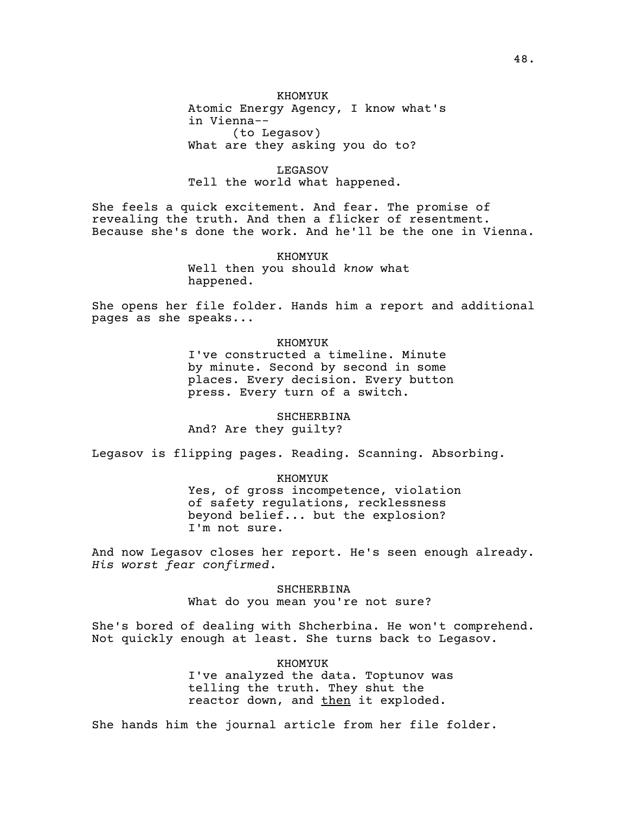KHOMYUK Atomic Energy Agency, I know what's in Vienna-- (to Legasov) What are they asking you do to?

LEGASOV Tell the world what happened.

She feels a quick excitement. And fear. The promise of revealing the truth. And then a flicker of resentment. Because she's done the work. And he'll be the one in Vienna.

> KHOMYUK Well then you should *know* what happened.

She opens her file folder. Hands him a report and additional pages as she speaks...

### KHOMYUK

I've constructed a timeline. Minute by minute. Second by second in some places. Every decision. Every button press. Every turn of a switch.

SHCHERBINA

And? Are they guilty?

Legasov is flipping pages. Reading. Scanning. Absorbing.

#### KHOMYUK

Yes, of gross incompetence, violation of safety regulations, recklessness beyond belief... but the explosion? I'm not sure.

And now Legasov closes her report. He's seen enough already. *His worst fear confirmed*.

> SHCHERBINA What do you mean you're not sure?

She's bored of dealing with Shcherbina. He won't comprehend. Not quickly enough at least. She turns back to Legasov.

> KHOMYUK I've analyzed the data. Toptunov was telling the truth. They shut the reactor down, and then it exploded.

She hands him the journal article from her file folder.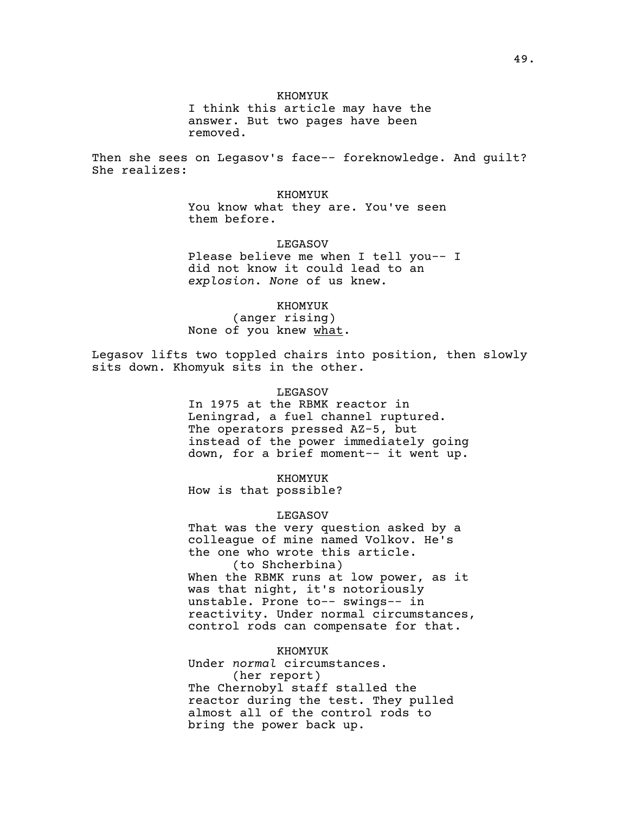#### KHOMYUK

I think this article may have the answer. But two pages have been removed.

Then she sees on Legasov's face-- foreknowledge. And guilt? She realizes:

> KHOMYUK You know what they are. You've seen them before.

LEGASOV Please believe me when I tell you-- I did not know it could lead to an *explosion*. *None* of us knew.

KHOMYUK (anger rising) None of you knew what.

Legasov lifts two toppled chairs into position, then slowly sits down. Khomyuk sits in the other.

### LEGASOV

In 1975 at the RBMK reactor in Leningrad, a fuel channel ruptured. The operators pressed AZ-5, but instead of the power immediately going down, for a brief moment-- it went up.

KHOMYUK

How is that possible?

LEGASOV

That was the very question asked by a colleague of mine named Volkov. He's the one who wrote this article. (to Shcherbina)

When the RBMK runs at low power, as it was that night, it's notoriously unstable. Prone to-- swings-- in reactivity. Under normal circumstances, control rods can compensate for that.

KHOMYUK

Under *normal* circumstances. (her report) The Chernobyl staff stalled the reactor during the test. They pulled almost all of the control rods to bring the power back up.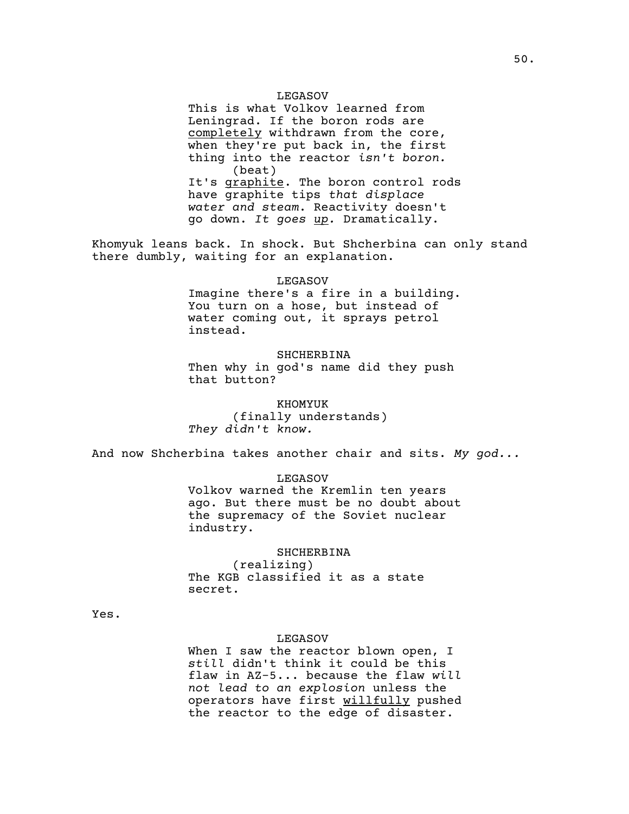#### LEGASOV

This is what Volkov learned from Leningrad. If the boron rods are completely withdrawn from the core, when they're put back in, the first thing into the reactor *isn't boron.* (beat) It's graphite. The boron control rods have graphite tips *that displace water and steam*. Reactivity doesn't go down. *It goes up.* Dramatically.

Khomyuk leans back. In shock. But Shcherbina can only stand there dumbly, waiting for an explanation.

#### LEGASOV

Imagine there's a fire in a building. You turn on a hose, but instead of water coming out, it sprays petrol instead.

## SHCHERBINA

Then why in god's name did they push that button?

KHOMYUK (finally understands) *They didn't know.*

And now Shcherbina takes another chair and sits. *My god...*

#### LEGASOV

Volkov warned the Kremlin ten years ago. But there must be no doubt about the supremacy of the Soviet nuclear industry.

## SHCHERBINA

(realizing) The KGB classified it as a state secret.

Yes.

#### LEGASOV

When I saw the reactor blown open, I *still* didn't think it could be this flaw in AZ-5... because the flaw *will not lead to an explosion* unless the operators have first willfully pushed the reactor to the edge of disaster.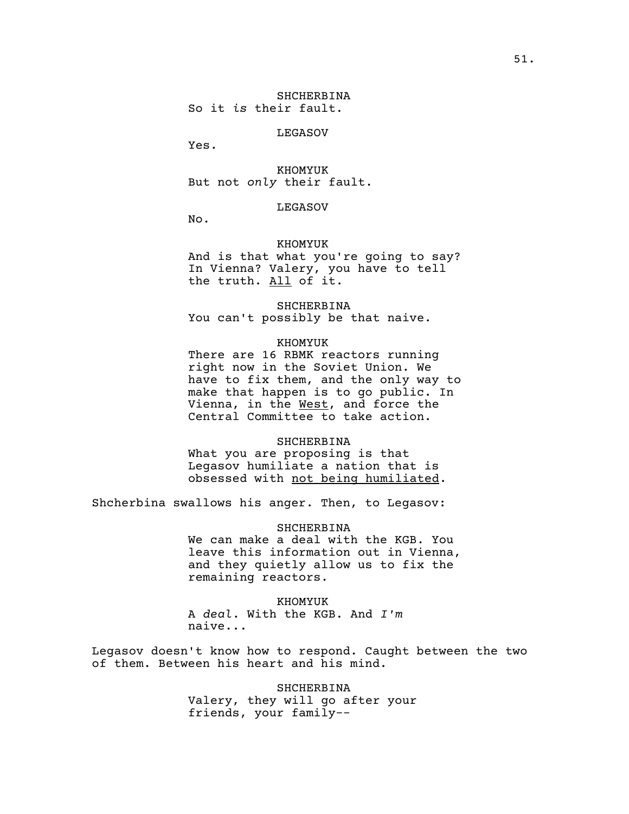LEGASOV

Yes.

KHOMYUK But not *only* their fault.

## LEGASOV

No.

## KHOMYUK

And is that what you're going to say? In Vienna? Valery, you have to tell the truth. All of it.

## SHCHERBINA

You can't possibly be that naive.

## KHOMYUK

There are 16 RBMK reactors running right now in the Soviet Union. We have to fix them, and the only way to make that happen is to go public. In Vienna, in the West, and force the Central Committee to take action.

## SHCHERBINA

What you are proposing is that Legasov humiliate a nation that is obsessed with not being humiliated.

Shcherbina swallows his anger. Then, to Legasov:

### SHCHERBINA

We can make a deal with the KGB. You leave this information out in Vienna, and they quietly allow us to fix the remaining reactors.

#### KHOMYUK

A *deal*. With the KGB. And *I'm* naive...

Legasov doesn't know how to respond. Caught between the two of them. Between his heart and his mind.

> SHCHERBINA Valery, they will go after your friends, your family--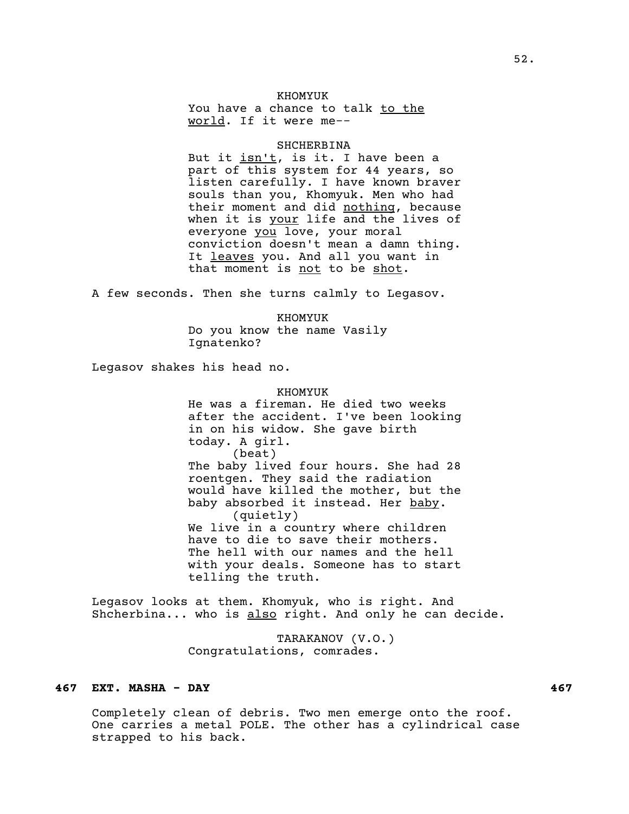## KHOMYUK

You have a chance to talk to the world. If it were me--

#### SHCHERBINA

But it isn't, is it. I have been a part of this system for 44 years, so listen carefully. I have known braver souls than you, Khomyuk. Men who had their moment and did nothing, because when it is your life and the lives of everyone you love, your moral conviction doesn't mean a damn thing. It leaves you. And all you want in that moment is not to be shot.

A few seconds. Then she turns calmly to Legasov.

KHOMYUK Do you know the name Vasily Ignatenko?

Legasov shakes his head no.

#### KHOMYUK

He was a fireman. He died two weeks after the accident. I've been looking in on his widow. She gave birth today. A girl. (beat) The baby lived four hours. She had 28 roentgen. They said the radiation would have killed the mother, but the baby absorbed it instead. Her baby. (quietly) We live in a country where children have to die to save their mothers. The hell with our names and the hell with your deals. Someone has to start telling the truth.

Legasov looks at them. Khomyuk, who is right. And Shcherbina... who is also right. And only he can decide.

> TARAKANOV (V.O.) Congratulations, comrades.

## **467 EXT. MASHA - DAY 467**

Completely clean of debris. Two men emerge onto the roof. One carries a metal POLE. The other has a cylindrical case strapped to his back.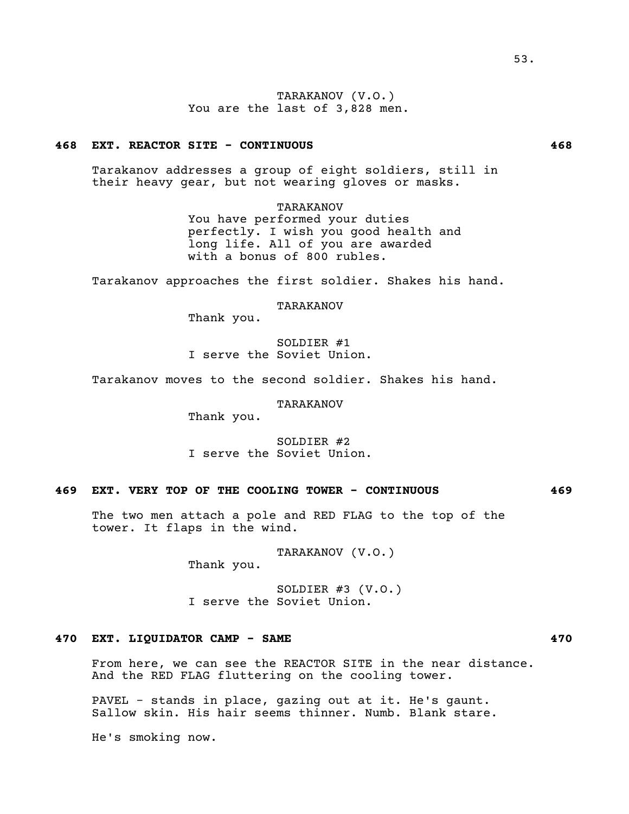TARAKANOV (V.O.) You are the last of 3,828 men.

## **468 EXT. REACTOR SITE - CONTINUOUS 468**

Tarakanov addresses a group of eight soldiers, still in their heavy gear, but not wearing gloves or masks.

## TARAKANOV

You have performed your duties perfectly. I wish you good health and long life. All of you are awarded with a bonus of 800 rubles.

Tarakanov approaches the first soldier. Shakes his hand.

## TARAKANOV

Thank you.

SOLDIER #1 I serve the Soviet Union.

Tarakanov moves to the second soldier. Shakes his hand.

#### TARAKANOV

Thank you.

SOLDIER #2 I serve the Soviet Union.

# **469 EXT. VERY TOP OF THE COOLING TOWER - CONTINUOUS 469**

The two men attach a pole and RED FLAG to the top of the tower. It flaps in the wind.

> TARAKANOV (V.O.) Thank you.

SOLDIER #3 (V.O.) I serve the Soviet Union.

# **470 EXT. LIQUIDATOR CAMP - SAME 470**

From here, we can see the REACTOR SITE in the near distance. And the RED FLAG fluttering on the cooling tower.

PAVEL - stands in place, gazing out at it. He's gaunt. Sallow skin. His hair seems thinner. Numb. Blank stare.

He's smoking now.